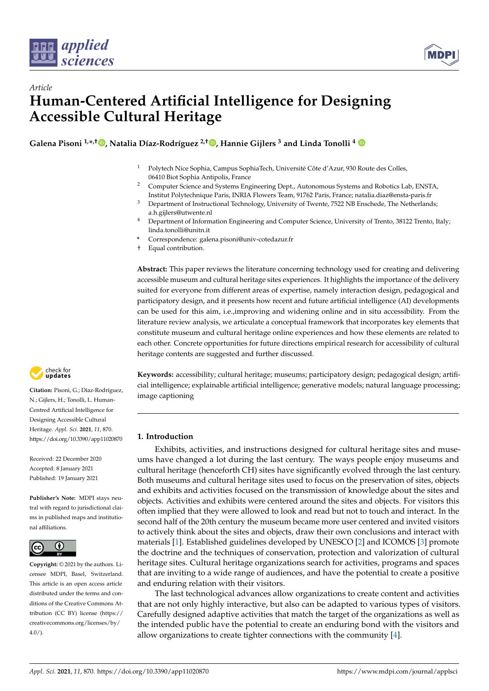



# *Article* **Human-Centered Artificial Intelligence for Designing Accessible Cultural Heritage**

**Galena Pisoni 1,\* ,[†](https://orcid.org/0000-0002-3266-1773) , Natalia Díaz-Rodríguez 2,† [,](https://orcid.org/0000-0003-3362-9326) Hannie Gijlers <sup>3</sup> and Linda Tonolli <sup>4</sup>**

- <sup>1</sup> Polytech Nice Sophia, Campus SophiaTech, Université Côte d'Azur, 930 Route des Colles, 06410 Biot Sophia Antipolis, France
- <sup>2</sup> Computer Science and Systems Engineering Dept., Autonomous Systems and Robotics Lab, ENSTA, Institut Polytechnique Paris, INRIA Flowers Team, 91762 Paris, France; natalia.diaz@ensta-paris.fr
- <sup>3</sup> Department of Instructional Technology, University of Twente, 7522 NB Enschede, The Netherlands; a.h.gijlers@utwente.nl
- <sup>4</sup> Department of Information Engineering and Computer Science, University of Trento, 38122 Trento, Italy; linda.tonolli@unitn.it
- **\*** Correspondence: galena.pisoni@univ-cotedazur.fr
- † Equal contribution.

**Abstract:** This paper reviews the literature concerning technology used for creating and delivering accessible museum and cultural heritage sites experiences. It highlights the importance of the delivery suited for everyone from different areas of expertise, namely interaction design, pedagogical and participatory design, and it presents how recent and future artificial intelligence (AI) developments can be used for this aim, i.e.,improving and widening online and in situ accessibility. From the literature review analysis, we articulate a conceptual framework that incorporates key elements that constitute museum and cultural heritage online experiences and how these elements are related to each other. Concrete opportunities for future directions empirical research for accessibility of cultural heritage contents are suggested and further discussed.



**Citation:** Pisoni, G.; Díaz-Rodríguez, N.; Gijlers, H.; Tonolli, L. Human-Centred Artificial Intelligence for Designing Accessible Cultural Heritage. *Appl. Sci.* **2021**, *11*, 870. <https://doi.org/10.3390/app11020870>

Received: 22 December 2020 Accepted: 8 January 2021 Published: 19 January 2021

**Publisher's Note:** MDPI stays neutral with regard to jurisdictional claims in published maps and institutional affiliations.



**Copyright:** © 2021 by the authors. Licensee MDPI, Basel, Switzerland. This article is an open access article distributed under the terms and conditions of the Creative Commons Attribution (CC BY) license [\(https://](https://creativecommons.org/licenses/by/4.0/) [creativecommons.org/licenses/by/](https://creativecommons.org/licenses/by/4.0/)  $4.0/$ ).

**Keywords:** accessibility; cultural heritage; museums; participatory design; pedagogical design; artificial intelligence; explainable artificial intelligence; generative models; natural language processing; image captioning

# **1. Introduction**

Exhibits, activities, and instructions designed for cultural heritage sites and museums have changed a lot during the last century. The ways people enjoy museums and cultural heritage (henceforth CH) sites have significantly evolved through the last century. Both museums and cultural heritage sites used to focus on the preservation of sites, objects and exhibits and activities focused on the transmission of knowledge about the sites and objects. Activities and exhibits were centered around the sites and objects. For visitors this often implied that they were allowed to look and read but not to touch and interact. In the second half of the 20th century the museum became more user centered and invited visitors to actively think about the sites and objects, draw their own conclusions and interact with materials [\[1\]](#page-23-0). Established guidelines developed by UNESCO [\[2\]](#page-23-1) and ICOMOS [\[3\]](#page-23-2) promote the doctrine and the techniques of conservation, protection and valorization of cultural heritage sites. Cultural heritage organizations search for activities, programs and spaces that are inviting to a wide range of audiences, and have the potential to create a positive and enduring relation with their visitors.

The last technological advances allow organizations to create content and activities that are not only highly interactive, but also can be adapted to various types of visitors. Carefully designed adaptive activities that match the target of the organizations as well as the intended public have the potential to create an enduring bond with the visitors and allow organizations to create tighter connections with the community [\[4\]](#page-23-3).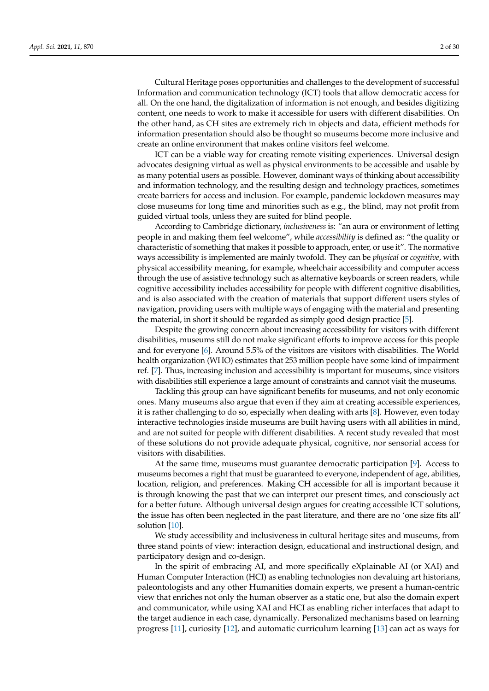Cultural Heritage poses opportunities and challenges to the development of successful Information and communication technology (ICT) tools that allow democratic access for all. On the one hand, the digitalization of information is not enough, and besides digitizing content, one needs to work to make it accessible for users with different disabilities. On the other hand, as CH sites are extremely rich in objects and data, efficient methods for information presentation should also be thought so museums become more inclusive and create an online environment that makes online visitors feel welcome.

ICT can be a viable way for creating remote visiting experiences. Universal design advocates designing virtual as well as physical environments to be accessible and usable by as many potential users as possible. However, dominant ways of thinking about accessibility and information technology, and the resulting design and technology practices, sometimes create barriers for access and inclusion. For example, pandemic lockdown measures may close museums for long time and minorities such as e.g., the blind, may not profit from guided virtual tools, unless they are suited for blind people.

According to Cambridge dictionary, *inclusiveness* is: "an aura or environment of letting people in and making them feel welcome", while *accessibility* is defined as: "the quality or characteristic of something that makes it possible to approach, enter, or use it". The normative ways accessibility is implemented are mainly twofold. They can be *physical* or *cognitive*, with physical accessibility meaning, for example, wheelchair accessibility and computer access through the use of assistive technology such as alternative keyboards or screen readers, while cognitive accessibility includes accessibility for people with different cognitive disabilities, and is also associated with the creation of materials that support different users styles of navigation, providing users with multiple ways of engaging with the material and presenting the material, in short it should be regarded as simply good design practice [\[5\]](#page-23-4).

Despite the growing concern about increasing accessibility for visitors with different disabilities, museums still do not make significant efforts to improve access for this people and for everyone [\[6\]](#page-23-5). Around 5.5% of the visitors are visitors with disabilities. The World health organization (WHO) estimates that 253 million people have some kind of impairment ref. [\[7\]](#page-23-6). Thus, increasing inclusion and accessibility is important for museums, since visitors with disabilities still experience a large amount of constraints and cannot visit the museums.

Tackling this group can have significant benefits for museums, and not only economic ones. Many museums also argue that even if they aim at creating accessible experiences, it is rather challenging to do so, especially when dealing with arts [\[8\]](#page-23-7). However, even today interactive technologies inside museums are built having users with all abilities in mind, and are not suited for people with different disabilities. A recent study revealed that most of these solutions do not provide adequate physical, cognitive, nor sensorial access for visitors with disabilities.

At the same time, museums must guarantee democratic participation [\[9\]](#page-23-8). Access to museums becomes a right that must be guaranteed to everyone, independent of age, abilities, location, religion, and preferences. Making CH accessible for all is important because it is through knowing the past that we can interpret our present times, and consciously act for a better future. Although universal design argues for creating accessible ICT solutions, the issue has often been neglected in the past literature, and there are no 'one size fits all' solution [\[10\]](#page-23-9).

We study accessibility and inclusiveness in cultural heritage sites and museums, from three stand points of view: interaction design, educational and instructional design, and participatory design and co-design.

In the spirit of embracing AI, and more specifically eXplainable AI (or XAI) and Human Computer Interaction (HCI) as enabling technologies non devaluing art historians, paleontologists and any other Humanities domain experts, we present a human-centric view that enriches not only the human observer as a static one, but also the domain expert and communicator, while using XAI and HCI as enabling richer interfaces that adapt to the target audience in each case, dynamically. Personalized mechanisms based on learning progress [\[11\]](#page-23-10), curiosity [\[12\]](#page-23-11), and automatic curriculum learning [\[13\]](#page-23-12) can act as ways for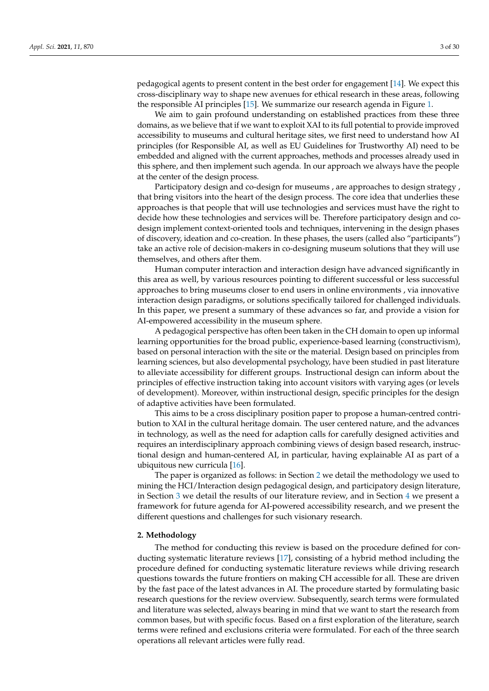pedagogical agents to present content in the best order for engagement [\[14\]](#page-23-13). We expect this cross-disciplinary way to shape new avenues for ethical research in these areas, following the responsible AI principles [\[15\]](#page-23-14). We summarize our research agenda in Figure [1.](#page-14-0)

We aim to gain profound understanding on established practices from these three domains, as we believe that if we want to exploit XAI to its full potential to provide improved accessibility to museums and cultural heritage sites, we first need to understand how AI principles (for Responsible AI, as well as EU Guidelines for Trustworthy AI) need to be embedded and aligned with the current approaches, methods and processes already used in this sphere, and then implement such agenda. In our approach we always have the people at the center of the design process.

Participatory design and co-design for museums , are approaches to design strategy , that bring visitors into the heart of the design process. The core idea that underlies these approaches is that people that will use technologies and services must have the right to decide how these technologies and services will be. Therefore participatory design and codesign implement context-oriented tools and techniques, intervening in the design phases of discovery, ideation and co-creation. In these phases, the users (called also "participants") take an active role of decision-makers in co-designing museum solutions that they will use themselves, and others after them.

Human computer interaction and interaction design have advanced significantly in this area as well, by various resources pointing to different successful or less successful approaches to bring museums closer to end users in online environments , via innovative interaction design paradigms, or solutions specifically tailored for challenged individuals. In this paper, we present a summary of these advances so far, and provide a vision for AI-empowered accessibility in the museum sphere.

A pedagogical perspective has often been taken in the CH domain to open up informal learning opportunities for the broad public, experience-based learning (constructivism), based on personal interaction with the site or the material. Design based on principles from learning sciences, but also developmental psychology, have been studied in past literature to alleviate accessibility for different groups. Instructional design can inform about the principles of effective instruction taking into account visitors with varying ages (or levels of development). Moreover, within instructional design, specific principles for the design of adaptive activities have been formulated.

This aims to be a cross disciplinary position paper to propose a human-centred contribution to XAI in the cultural heritage domain. The user centered nature, and the advances in technology, as well as the need for adaption calls for carefully designed activities and requires an interdisciplinary approach combining views of design based research, instructional design and human-centered AI, in particular, having explainable AI as part of a ubiquitous new curricula [\[16\]](#page-23-15).

The paper is organized as follows: in Section [2](#page-2-0) we detail the methodology we used to mining the HCI/Interaction design pedagogical design, and participatory design literature, in Section [3](#page-4-0) we detail the results of our literature review, and in Section [4](#page-12-0) we present a framework for future agenda for AI-powered accessibility research, and we present the different questions and challenges for such visionary research.

#### <span id="page-2-0"></span>**2. Methodology**

The method for conducting this review is based on the procedure defined for conducting systematic literature reviews [\[17\]](#page-23-16), consisting of a hybrid method including the procedure defined for conducting systematic literature reviews while driving research questions towards the future frontiers on making CH accessible for all. These are driven by the fast pace of the latest advances in AI. The procedure started by formulating basic research questions for the review overview. Subsequently, search terms were formulated and literature was selected, always bearing in mind that we want to start the research from common bases, but with specific focus. Based on a first exploration of the literature, search terms were refined and exclusions criteria were formulated. For each of the three search operations all relevant articles were fully read.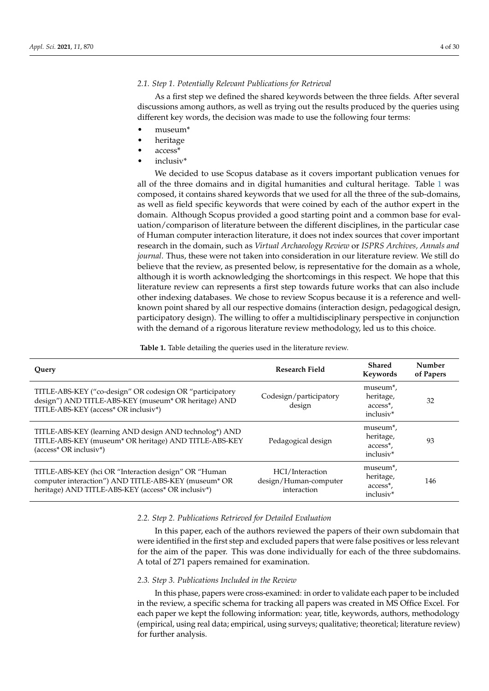# *2.1. Step 1. Potentially Relevant Publications for Retrieval*

As a first step we defined the shared keywords between the three fields. After several discussions among authors, as well as trying out the results produced by the queries using different key words, the decision was made to use the following four terms:

- museum\*
- heritage
- access\*
- inclusiv\*

We decided to use Scopus database as it covers important publication venues for all of the three domains and in digital humanities and cultural heritage. Table [1](#page-3-0) was composed, it contains shared keywords that we used for all the three of the sub-domains, as well as field specific keywords that were coined by each of the author expert in the domain. Although Scopus provided a good starting point and a common base for evaluation/comparison of literature between the different disciplines, in the particular case of Human computer interaction literature, it does not index sources that cover important research in the domain, such as *Virtual Archaeology Review* or *ISPRS Archives, Annals and journal*. Thus, these were not taken into consideration in our literature review. We still do believe that the review, as presented below, is representative for the domain as a whole, although it is worth acknowledging the shortcomings in this respect. We hope that this literature review can represents a first step towards future works that can also include other indexing databases. We chose to review Scopus because it is a reference and wellknown point shared by all our respective domains (interaction design, pedagogical design, participatory design). The willing to offer a multidisciplinary perspective in conjunction with the demand of a rigorous literature review methodology, led us to this choice.

**Table 1.** Table detailing the queries used in the literature review.

<span id="page-3-0"></span>

| Query                                                                                                                                                              | <b>Research Field</b>                                   | <b>Shared</b><br>Keywords                                                            | Number<br>of Papers |
|--------------------------------------------------------------------------------------------------------------------------------------------------------------------|---------------------------------------------------------|--------------------------------------------------------------------------------------|---------------------|
| TITLE-ABS-KEY ("co-design" OR codesign OR "participatory<br>design") AND TITLE-ABS-KEY (museum* OR heritage) AND<br>TITLE-ABS-KEY (access* OR inclusiv*)           | Codesign/participatory<br>design                        | museum <sup>*</sup> ,<br>heritage,<br>access <sup>*</sup> ,<br>inclusiv*             | 32                  |
| TITLE-ABS-KEY (learning AND design AND technolog*) AND<br>TITLE-ABS-KEY (museum* OR heritage) AND TITLE-ABS-KEY<br>(access* OR inclusiv*)                          | Pedagogical design                                      | museum <sup>*</sup> ,<br>heritage,<br>access*,<br>inclusiv <sup>*</sup>              | 93                  |
| TITLE-ABS-KEY (hci OR "Interaction design" OR "Human<br>computer interaction") AND TITLE-ABS-KEY (museum* OR<br>heritage) AND TITLE-ABS-KEY (access* OR inclusiv*) | HCI/Interaction<br>design/Human-computer<br>interaction | museum <sup>*</sup> ,<br>heritage,<br>access <sup>*</sup> ,<br>inclusiv <sup>*</sup> | 146                 |

#### *2.2. Step 2. Publications Retrieved for Detailed Evaluation*

In this paper, each of the authors reviewed the papers of their own subdomain that were identified in the first step and excluded papers that were false positives or less relevant for the aim of the paper. This was done individually for each of the three subdomains. A total of 271 papers remained for examination.

# *2.3. Step 3. Publications Included in the Review*

In this phase, papers were cross-examined: in order to validate each paper to be included in the review, a specific schema for tracking all papers was created in MS Office Excel. For each paper we kept the following information: year, title, keywords, authors, methodology (empirical, using real data; empirical, using surveys; qualitative; theoretical; literature review) for further analysis.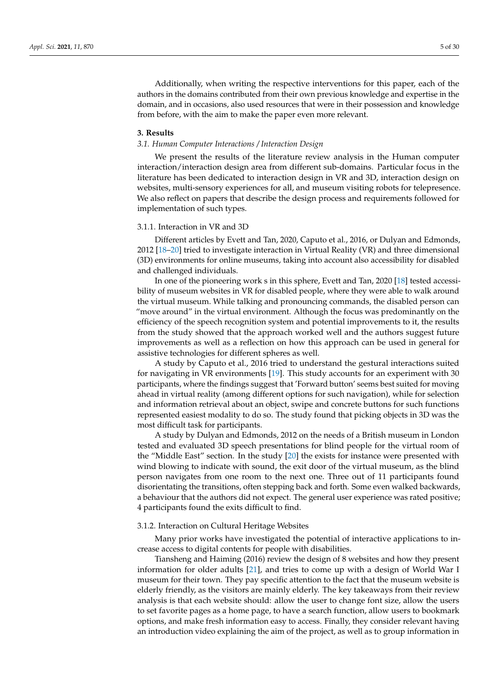Additionally, when writing the respective interventions for this paper, each of the authors in the domains contributed from their own previous knowledge and expertise in the domain, and in occasions, also used resources that were in their possession and knowledge from before, with the aim to make the paper even more relevant.

#### <span id="page-4-0"></span>**3. Results**

#### *3.1. Human Computer Interactions / Interaction Design*

We present the results of the literature review analysis in the Human computer interaction/interaction design area from different sub-domains. Particular focus in the literature has been dedicated to interaction design in VR and 3D, interaction design on websites, multi-sensory experiences for all, and museum visiting robots for telepresence. We also reflect on papers that describe the design process and requirements followed for implementation of such types.

#### 3.1.1. Interaction in VR and 3D

Different articles by Evett and Tan, 2020, Caputo et al., 2016, or Dulyan and Edmonds, 2012 [\[18–](#page-23-17)[20\]](#page-23-18) tried to investigate interaction in Virtual Reality (VR) and three dimensional (3D) environments for online museums, taking into account also accessibility for disabled and challenged individuals.

In one of the pioneering work s in this sphere, Evett and Tan, 2020 [\[18\]](#page-23-17) tested accessibility of museum websites in VR for disabled people, where they were able to walk around the virtual museum. While talking and pronouncing commands, the disabled person can "move around" in the virtual environment. Although the focus was predominantly on the efficiency of the speech recognition system and potential improvements to it, the results from the study showed that the approach worked well and the authors suggest future improvements as well as a reflection on how this approach can be used in general for assistive technologies for different spheres as well.

A study by Caputo et al., 2016 tried to understand the gestural interactions suited for navigating in VR environments [\[19\]](#page-23-19). This study accounts for an experiment with 30 participants, where the findings suggest that 'Forward button' seems best suited for moving ahead in virtual reality (among different options for such navigation), while for selection and information retrieval about an object, swipe and concrete buttons for such functions represented easiest modality to do so. The study found that picking objects in 3D was the most difficult task for participants.

A study by Dulyan and Edmonds, 2012 on the needs of a British museum in London tested and evaluated 3D speech presentations for blind people for the virtual room of the "Middle East" section. In the study [\[20\]](#page-23-18) the exists for instance were presented with wind blowing to indicate with sound, the exit door of the virtual museum, as the blind person navigates from one room to the next one. Three out of 11 participants found disorientating the transitions, often stepping back and forth. Some even walked backwards, a behaviour that the authors did not expect. The general user experience was rated positive; 4 participants found the exits difficult to find.

#### 3.1.2. Interaction on Cultural Heritage Websites

Many prior works have investigated the potential of interactive applications to increase access to digital contents for people with disabilities.

Tiansheng and Haiming (2016) review the design of 8 websites and how they present information for older adults [\[21\]](#page-23-20), and tries to come up with a design of World War I museum for their town. They pay specific attention to the fact that the museum website is elderly friendly, as the visitors are mainly elderly. The key takeaways from their review analysis is that each website should: allow the user to change font size, allow the users to set favorite pages as a home page, to have a search function, allow users to bookmark options, and make fresh information easy to access. Finally, they consider relevant having an introduction video explaining the aim of the project, as well as to group information in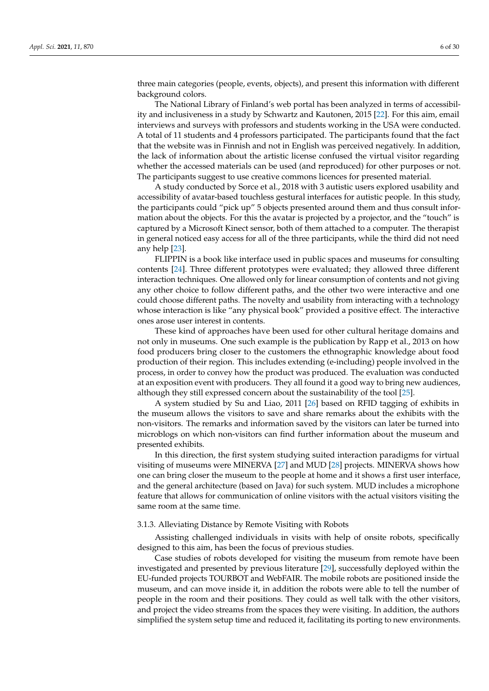three main categories (people, events, objects), and present this information with different background colors.

The National Library of Finland's web portal has been analyzed in terms of accessibility and inclusiveness in a study by Schwartz and Kautonen, 2015 [\[22\]](#page-23-21). For this aim, email interviews and surveys with professors and students working in the USA were conducted. A total of 11 students and 4 professors participated. The participants found that the fact that the website was in Finnish and not in English was perceived negatively. In addition, the lack of information about the artistic license confused the virtual visitor regarding whether the accessed materials can be used (and reproduced) for other purposes or not. The participants suggest to use creative commons licences for presented material.

A study conducted by Sorce et al., 2018 with 3 autistic users explored usability and accessibility of avatar-based touchless gestural interfaces for autistic people. In this study, the participants could "pick up" 5 objects presented around them and thus consult information about the objects. For this the avatar is projected by a projector, and the "touch" is captured by a Microsoft Kinect sensor, both of them attached to a computer. The therapist in general noticed easy access for all of the three participants, while the third did not need any help [\[23\]](#page-23-22).

FLIPPIN is a book like interface used in public spaces and museums for consulting contents [\[24\]](#page-23-23). Three different prototypes were evaluated; they allowed three different interaction techniques. One allowed only for linear consumption of contents and not giving any other choice to follow different paths, and the other two were interactive and one could choose different paths. The novelty and usability from interacting with a technology whose interaction is like "any physical book" provided a positive effect. The interactive ones arose user interest in contents.

These kind of approaches have been used for other cultural heritage domains and not only in museums. One such example is the publication by Rapp et al., 2013 on how food producers bring closer to the customers the ethnographic knowledge about food production of their region. This includes extending (e-including) people involved in the process, in order to convey how the product was produced. The evaluation was conducted at an exposition event with producers. They all found it a good way to bring new audiences, although they still expressed concern about the sustainability of the tool [\[25\]](#page-23-24).

A system studied by Su and Liao, 2011 [\[26\]](#page-23-25) based on RFID tagging of exhibits in the museum allows the visitors to save and share remarks about the exhibits with the non-visitors. The remarks and information saved by the visitors can later be turned into microblogs on which non-visitors can find further information about the museum and presented exhibits.

In this direction, the first system studying suited interaction paradigms for virtual visiting of museums were MINERVA [\[27\]](#page-24-0) and MUD [\[28\]](#page-24-1) projects. MINERVA shows how one can bring closer the museum to the people at home and it shows a first user interface, and the general architecture (based on Java) for such system. MUD includes a microphone feature that allows for communication of online visitors with the actual visitors visiting the same room at the same time.

# 3.1.3. Alleviating Distance by Remote Visiting with Robots

Assisting challenged individuals in visits with help of onsite robots, specifically designed to this aim, has been the focus of previous studies.

Case studies of robots developed for visiting the museum from remote have been investigated and presented by previous literature [\[29\]](#page-24-2), successfully deployed within the EU-funded projects TOURBOT and WebFAIR. The mobile robots are positioned inside the museum, and can move inside it, in addition the robots were able to tell the number of people in the room and their positions. They could as well talk with the other visitors, and project the video streams from the spaces they were visiting. In addition, the authors simplified the system setup time and reduced it, facilitating its porting to new environments.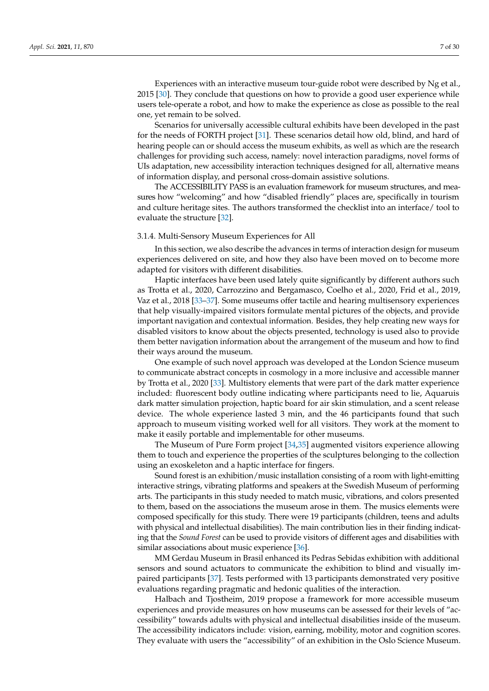Experiences with an interactive museum tour-guide robot were described by Ng et al., 2015 [\[30\]](#page-24-3). They conclude that questions on how to provide a good user experience while users tele-operate a robot, and how to make the experience as close as possible to the real one, yet remain to be solved.

Scenarios for universally accessible cultural exhibits have been developed in the past for the needs of FORTH project [\[31\]](#page-24-4). These scenarios detail how old, blind, and hard of hearing people can or should access the museum exhibits, as well as which are the research challenges for providing such access, namely: novel interaction paradigms, novel forms of UIs adaptation, new accessibility interaction techniques designed for all, alternative means of information display, and personal cross-domain assistive solutions.

The ACCESSIBILITY PASS is an evaluation framework for museum structures, and measures how "welcoming" and how "disabled friendly" places are, specifically in tourism and culture heritage sites. The authors transformed the checklist into an interface/ tool to evaluate the structure [\[32\]](#page-24-5).

#### 3.1.4. Multi-Sensory Museum Experiences for All

In this section, we also describe the advances in terms of interaction design for museum experiences delivered on site, and how they also have been moved on to become more adapted for visitors with different disabilities.

Haptic interfaces have been used lately quite significantly by different authors such as Trotta et al., 2020, Carrozzino and Bergamasco, Coelho et al., 2020, Frid et al., 2019, Vaz et al., 2018 [\[33–](#page-24-6)[37\]](#page-24-7). Some museums offer tactile and hearing multisensory experiences that help visually-impaired visitors formulate mental pictures of the objects, and provide important navigation and contextual information. Besides, they help creating new ways for disabled visitors to know about the objects presented, technology is used also to provide them better navigation information about the arrangement of the museum and how to find their ways around the museum.

One example of such novel approach was developed at the London Science museum to communicate abstract concepts in cosmology in a more inclusive and accessible manner by Trotta et al., 2020 [\[33\]](#page-24-6). Multistory elements that were part of the dark matter experience included: fluorescent body outline indicating where participants need to lie, Aquaruis dark matter simulation projection, haptic board for air skin stimulation, and a scent release device. The whole experience lasted 3 min, and the 46 participants found that such approach to museum visiting worked well for all visitors. They work at the moment to make it easily portable and implementable for other museums.

The Museum of Pure Form project [\[34](#page-24-8)[,35\]](#page-24-9) augmented visitors experience allowing them to touch and experience the properties of the sculptures belonging to the collection using an exoskeleton and a haptic interface for fingers.

Sound forest is an exhibition/music installation consisting of a room with light-emitting interactive strings, vibrating platforms and speakers at the Swedish Museum of performing arts. The participants in this study needed to match music, vibrations, and colors presented to them, based on the associations the museum arose in them. The musics elements were composed specifically for this study. There were 19 participants (children, teens and adults with physical and intellectual disabilities). The main contribution lies in their finding indicating that the *Sound Forest* can be used to provide visitors of different ages and disabilities with similar associations about music experience [\[36\]](#page-24-10).

MM Gerdau Museum in Brasil enhanced its Pedras Sebidas exhibition with additional sensors and sound actuators to communicate the exhibition to blind and visually impaired participants [\[37\]](#page-24-7). Tests performed with 13 participants demonstrated very positive evaluations regarding pragmatic and hedonic qualities of the interaction.

Halbach and Tjostheim, 2019 propose a framework for more accessible museum experiences and provide measures on how museums can be assessed for their levels of "accessibility" towards adults with physical and intellectual disabilities inside of the museum. The accessibility indicators include: vision, earning, mobility, motor and cognition scores. They evaluate with users the "accessibility" of an exhibition in the Oslo Science Museum.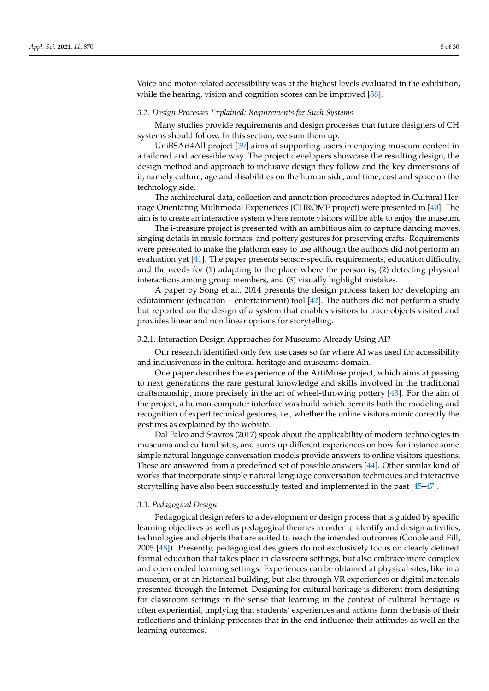Voice and motor-related accessibility was at the highest levels evaluated in the exhibition, while the hearing, vision and cognition scores can be improved [\[38\]](#page-24-11).

# *3.2. Design Processes Explained: Requirements for Such Systems*

Many studies provide requirements and design processes that future designers of CH systems should follow. In this section, we sum them up.

UniBSArt4All project [\[39\]](#page-24-12) aims at supporting users in enjoying museum content in a tailored and accessible way. The project developers showcase the resulting design, the design method and approach to inclusive design they follow and the key dimensions of it, namely culture, age and disabilities on the human side, and time, cost and space on the technology side.

The architectural data, collection and annotation procedures adopted in Cultural Heritage Orientating Multimodal Experiences (CHROME project) were presented in [\[40\]](#page-24-13). The aim is to create an interactive system where remote visitors will be able to enjoy the museum.

The i-treasure project is presented with an ambitious aim to capture dancing moves, singing details in music formats, and pottery gestures for preserving crafts. Requirements were presented to make the platform easy to use although the authors did not perform an evaluation yet [\[41\]](#page-24-14). The paper presents sensor-specific requirements, education difficulty, and the needs for (1) adapting to the place where the person is, (2) detecting physical interactions among group members, and (3) visually highlight mistakes.

A paper by Song et al., 2014 presents the design process taken for developing an edutainment (education + entertainment) tool [ $42$ ]. The authors did not perform a study but reported on the design of a system that enables visitors to trace objects visited and provides linear and non linear options for storytelling.

#### 3.2.1. Interaction Design Approaches for Museums Already Using AI?

Our research identified only few use cases so far where AI was used for accessibility and inclusiveness in the cultural heritage and museums domain.

One paper describes the experience of the ArtiMuse project, which aims at passing to next generations the rare gestural knowledge and skills involved in the traditional craftsmanship, more precisely in the art of wheel-throwing pottery [\[43\]](#page-24-16). For the aim of the project, a human-computer interface was build which permits both the modeling and recognition of expert technical gestures, i.e., whether the online visitors mimic correctly the gestures as explained by the website.

Dal Falco and Stavros (2017) speak about the applicability of modern technologies in museums and cultural sites, and sums up different experiences on how for instance some simple natural language conversation models provide answers to online visitors questions. These are answered from a predefined set of possible answers [\[44\]](#page-24-17). Other similar kind of works that incorporate simple natural language conversation techniques and interactive storytelling have also been successfully tested and implemented in the past [\[45–](#page-24-18)[47\]](#page-24-19).

#### *3.3. Pedagogical Design*

Pedagogical design refers to a development or design process that is guided by specific learning objectives as well as pedagogical theories in order to identify and design activities, technologies and objects that are suited to reach the intended outcomes (Conole and Fill, 2005 [\[48\]](#page-24-20)). Presently, pedagogical designers do not exclusively focus on clearly defined formal education that takes place in classroom settings, but also embrace more complex and open ended learning settings. Experiences can be obtained at physical sites, like in a museum, or at an historical building, but also through VR experiences or digital materials presented through the Internet. Designing for cultural heritage is different from designing for classroom settings in the sense that learning in the context of cultural heritage is often experiential, implying that students' experiences and actions form the basis of their reflections and thinking processes that in the end influence their attitudes as well as the learning outcomes.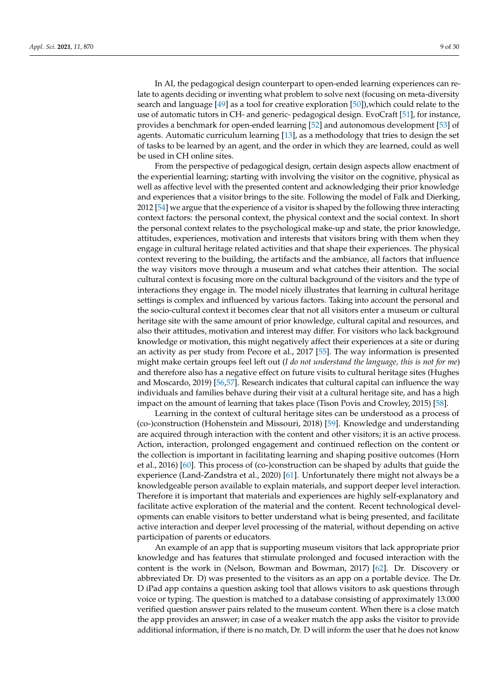In AI, the pedagogical design counterpart to open-ended learning experiences can relate to agents deciding or inventing what problem to solve next (focusing on meta-diversity search and language  $[49]$  as a tool for creative exploration  $[50]$ ), which could relate to the use of automatic tutors in CH- and generic- pedagogical design. EvoCraft [\[51\]](#page-24-23), for instance, provides a benchmark for open-ended learning [\[52\]](#page-25-0) and autonomous development [\[53\]](#page-25-1) of agents. Automatic curriculum learning [\[13\]](#page-23-12), as a methodology that tries to design the set of tasks to be learned by an agent, and the order in which they are learned, could as well

be used in CH online sites. From the perspective of pedagogical design, certain design aspects allow enactment of the experiential learning; starting with involving the visitor on the cognitive, physical as well as affective level with the presented content and acknowledging their prior knowledge and experiences that a visitor brings to the site. Following the model of Falk and Dierking, 2012 [\[54\]](#page-25-2) we argue that the experience of a visitor is shaped by the following three interacting context factors: the personal context, the physical context and the social context. In short the personal context relates to the psychological make-up and state, the prior knowledge, attitudes, experiences, motivation and interests that visitors bring with them when they engage in cultural heritage related activities and that shape their experiences. The physical context revering to the building, the artifacts and the ambiance, all factors that influence the way visitors move through a museum and what catches their attention. The social cultural context is focusing more on the cultural background of the visitors and the type of interactions they engage in. The model nicely illustrates that learning in cultural heritage settings is complex and influenced by various factors. Taking into account the personal and the socio-cultural context it becomes clear that not all visitors enter a museum or cultural heritage site with the same amount of prior knowledge, cultural capital and resources, and also their attitudes, motivation and interest may differ. For visitors who lack background knowledge or motivation, this might negatively affect their experiences at a site or during an activity as per study from Pecore et al., 2017 [\[55\]](#page-25-3). The way information is presented might make certain groups feel left out (*I do not understand the language, this is not for me*) and therefore also has a negative effect on future visits to cultural heritage sites (Hughes and Moscardo, 2019) [\[56](#page-25-4)[,57\]](#page-25-5). Research indicates that cultural capital can influence the way individuals and families behave during their visit at a cultural heritage site, and has a high impact on the amount of learning that takes place (Tison Povis and Crowley, 2015) [\[58\]](#page-25-6).

Learning in the context of cultural heritage sites can be understood as a process of (co-)construction (Hohenstein and Missouri, 2018) [\[59\]](#page-25-7). Knowledge and understanding are acquired through interaction with the content and other visitors; it is an active process. Action, interaction, prolonged engagement and continued reflection on the content or the collection is important in facilitating learning and shaping positive outcomes (Horn et al., 2016) [\[60\]](#page-25-8). This process of (co-)construction can be shaped by adults that guide the experience (Land-Zandstra et al., 2020) [\[61\]](#page-25-9). Unfortunately there might not always be a knowledgeable person available to explain materials, and support deeper level interaction. Therefore it is important that materials and experiences are highly self-explanatory and facilitate active exploration of the material and the content. Recent technological developments can enable visitors to better understand what is being presented, and facilitate active interaction and deeper level processing of the material, without depending on active participation of parents or educators.

An example of an app that is supporting museum visitors that lack appropriate prior knowledge and has features that stimulate prolonged and focused interaction with the content is the work in (Nelson, Bowman and Bowman, 2017) [\[62\]](#page-25-10). Dr. Discovery or abbreviated Dr. D) was presented to the visitors as an app on a portable device. The Dr. D iPad app contains a question asking tool that allows visitors to ask questions through voice or typing. The question is matched to a database consisting of approximately 13.000 verified question answer pairs related to the museum content. When there is a close match the app provides an answer; in case of a weaker match the app asks the visitor to provide additional information, if there is no match, Dr. D will inform the user that he does not know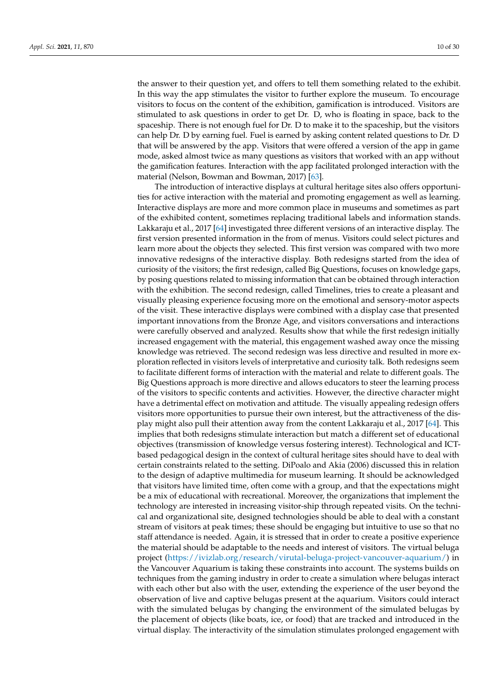the answer to their question yet, and offers to tell them something related to the exhibit. In this way the app stimulates the visitor to further explore the museum. To encourage visitors to focus on the content of the exhibition, gamification is introduced. Visitors are stimulated to ask questions in order to get Dr. D, who is floating in space, back to the spaceship. There is not enough fuel for Dr. D to make it to the spaceship, but the visitors can help Dr. D by earning fuel. Fuel is earned by asking content related questions to Dr. D that will be answered by the app. Visitors that were offered a version of the app in game mode, asked almost twice as many questions as visitors that worked with an app without the gamification features. Interaction with the app facilitated prolonged interaction with the material (Nelson, Bowman and Bowman, 2017) [\[63\]](#page-25-11).

The introduction of interactive displays at cultural heritage sites also offers opportunities for active interaction with the material and promoting engagement as well as learning. Interactive displays are more and more common place in museums and sometimes as part of the exhibited content, sometimes replacing traditional labels and information stands. Lakkaraju et al., 2017 [\[64\]](#page-25-12) investigated three different versions of an interactive display. The first version presented information in the from of menus. Visitors could select pictures and learn more about the objects they selected. This first version was compared with two more innovative redesigns of the interactive display. Both redesigns started from the idea of curiosity of the visitors; the first redesign, called Big Questions, focuses on knowledge gaps, by posing questions related to missing information that can be obtained through interaction with the exhibition. The second redesign, called Timelines, tries to create a pleasant and visually pleasing experience focusing more on the emotional and sensory-motor aspects of the visit. These interactive displays were combined with a display case that presented important innovations from the Bronze Age, and visitors conversations and interactions were carefully observed and analyzed. Results show that while the first redesign initially increased engagement with the material, this engagement washed away once the missing knowledge was retrieved. The second redesign was less directive and resulted in more exploration reflected in visitors levels of interpretative and curiosity talk. Both redesigns seem to facilitate different forms of interaction with the material and relate to different goals. The Big Questions approach is more directive and allows educators to steer the learning process of the visitors to specific contents and activities. However, the directive character might have a detrimental effect on motivation and attitude. The visually appealing redesign offers visitors more opportunities to pursue their own interest, but the attractiveness of the display might also pull their attention away from the content Lakkaraju et al., 2017 [\[64\]](#page-25-12). This implies that both redesigns stimulate interaction but match a different set of educational objectives (transmission of knowledge versus fostering interest). Technological and ICTbased pedagogical design in the context of cultural heritage sites should have to deal with certain constraints related to the setting. DiPoalo and Akia (2006) discussed this in relation to the design of adaptive multimedia for museum learning. It should be acknowledged that visitors have limited time, often come with a group, and that the expectations might be a mix of educational with recreational. Moreover, the organizations that implement the technology are interested in increasing visitor-ship through repeated visits. On the technical and organizational site, designed technologies should be able to deal with a constant stream of visitors at peak times; these should be engaging but intuitive to use so that no staff attendance is needed. Again, it is stressed that in order to create a positive experience the material should be adaptable to the needs and interest of visitors. The virtual beluga project [\(https://ivizlab.org/research/virutal-beluga-project-vancouver-aquarium/\)](https://ivizlab.org/research/virutal-beluga-project-vancouver-aquarium/) in the Vancouver Aquarium is taking these constraints into account. The systems builds on techniques from the gaming industry in order to create a simulation where belugas interact with each other but also with the user, extending the experience of the user beyond the observation of live and captive belugas present at the aquarium. Visitors could interact with the simulated belugas by changing the environment of the simulated belugas by the placement of objects (like boats, ice, or food) that are tracked and introduced in the virtual display. The interactivity of the simulation stimulates prolonged engagement with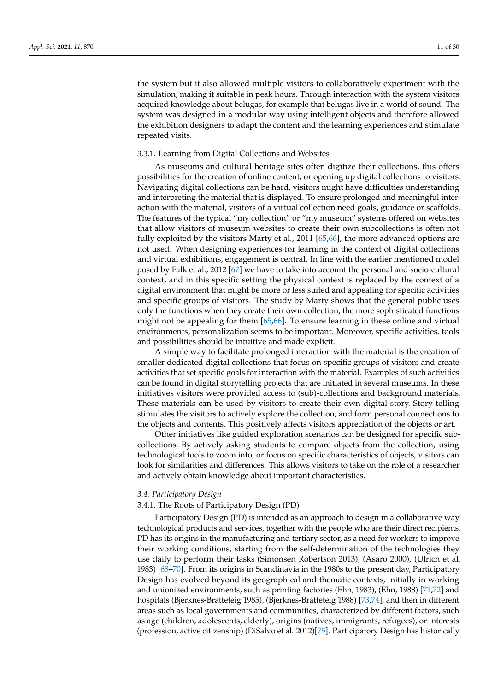the system but it also allowed multiple visitors to collaboratively experiment with the simulation, making it suitable in peak hours. Through interaction with the system visitors acquired knowledge about belugas, for example that belugas live in a world of sound. The system was designed in a modular way using intelligent objects and therefore allowed the exhibition designers to adapt the content and the learning experiences and stimulate repeated visits.

#### 3.3.1. Learning from Digital Collections and Websites

As museums and cultural heritage sites often digitize their collections, this offers possibilities for the creation of online content, or opening up digital collections to visitors. Navigating digital collections can be hard, visitors might have difficulties understanding and interpreting the material that is displayed. To ensure prolonged and meaningful interaction with the material, visitors of a virtual collection need goals, guidance or scaffolds. The features of the typical "my collection" or "my museum" systems offered on websites that allow visitors of museum websites to create their own subcollections is often not fully exploited by the visitors Marty et al., 2011 [\[65](#page-25-13)[,66\]](#page-25-14), the more advanced options are not used. When designing experiences for learning in the context of digital collections and virtual exhibitions, engagement is central. In line with the earlier mentioned model posed by Falk et al., 2012 [\[67\]](#page-25-15) we have to take into account the personal and socio-cultural context, and in this specific setting the physical context is replaced by the context of a digital environment that might be more or less suited and appealing for specific activities and specific groups of visitors. The study by Marty shows that the general public uses only the functions when they create their own collection, the more sophisticated functions might not be appealing for them [\[65,](#page-25-13)[66\]](#page-25-14). To ensure learning in these online and virtual environments, personalization seems to be important. Moreover, specific activities, tools and possibilities should be intuitive and made explicit.

A simple way to facilitate prolonged interaction with the material is the creation of smaller dedicated digital collections that focus on specific groups of visitors and create activities that set specific goals for interaction with the material. Examples of such activities can be found in digital storytelling projects that are initiated in several museums. In these initiatives visitors were provided access to (sub)-collections and background materials. These materials can be used by visitors to create their own digital story. Story telling stimulates the visitors to actively explore the collection, and form personal connections to the objects and contents. This positively affects visitors appreciation of the objects or art.

Other initiatives like guided exploration scenarios can be designed for specific subcollections. By actively asking students to compare objects from the collection, using technological tools to zoom into, or focus on specific characteristics of objects, visitors can look for similarities and differences. This allows visitors to take on the role of a researcher and actively obtain knowledge about important characteristics.

#### *3.4. Participatory Design*

# 3.4.1. The Roots of Participatory Design (PD)

Participatory Design (PD) is intended as an approach to design in a collaborative way technological products and services, together with the people who are their direct recipients. PD has its origins in the manufacturing and tertiary sector, as a need for workers to improve their working conditions, starting from the self-determination of the technologies they use daily to perform their tasks (Simonsen Robertson 2013), (Asaro 2000), (Ulrich et al. 1983) [\[68](#page-25-16)[–70\]](#page-25-17). From its origins in Scandinavia in the 1980s to the present day, Participatory Design has evolved beyond its geographical and thematic contexts, initially in working and unionized environments, such as printing factories (Ehn, 1983), (Ehn, 1988) [\[71,](#page-25-18)[72\]](#page-25-19) and hospitals (Bjerknes-Bratteteig 1985), (Bjerknes-Bratteteig 1988) [\[73](#page-25-20)[,74\]](#page-25-21), and then in different areas such as local governments and communities, characterized by different factors, such as age (children, adolescents, elderly), origins (natives, immigrants, refugees), or interests (profession, active citizenship) (DiSalvo et al. 2012)[\[75\]](#page-25-22). Participatory Design has historically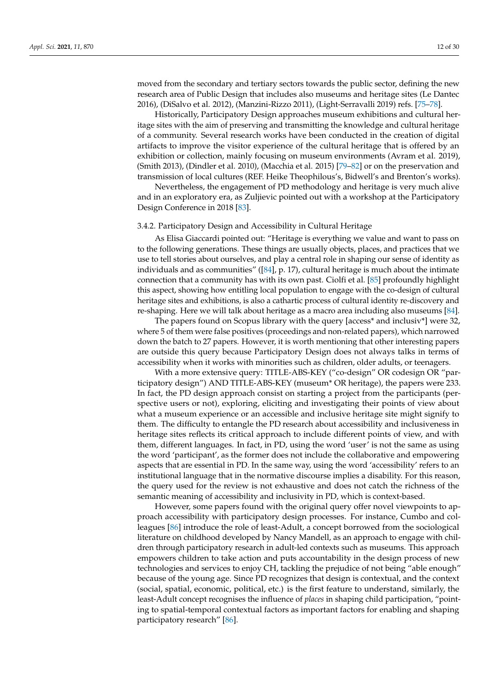moved from the secondary and tertiary sectors towards the public sector, defining the new research area of Public Design that includes also museums and heritage sites (Le Dantec 2016), (DiSalvo et al. 2012), (Manzini-Rizzo 2011), (Light-Serravalli 2019) refs. [\[75](#page-25-22)[–78\]](#page-25-23).

Historically, Participatory Design approaches museum exhibitions and cultural heritage sites with the aim of preserving and transmitting the knowledge and cultural heritage of a community. Several research works have been conducted in the creation of digital artifacts to improve the visitor experience of the cultural heritage that is offered by an exhibition or collection, mainly focusing on museum environments (Avram et al. 2019), (Smith 2013), (Dindler et al. 2010), (Macchia et al. 2015) [\[79–](#page-25-24)[82\]](#page-26-0) or on the preservation and transmission of local cultures (REF. Heike Theophilous's, Bidwell's and Brenton's works).

Nevertheless, the engagement of PD methodology and heritage is very much alive and in an exploratory era, as Zuljievic pointed out with a workshop at the Participatory Design Conference in 2018 [\[83\]](#page-26-1).

#### 3.4.2. Participatory Design and Accessibility in Cultural Heritage

As Elisa Giaccardi pointed out: "Heritage is everything we value and want to pass on to the following generations. These things are usually objects, places, and practices that we use to tell stories about ourselves, and play a central role in shaping our sense of identity as individuals and as communities" ( $[84]$ , p. 17), cultural heritage is much about the intimate connection that a community has with its own past. Ciolfi et al. [\[85\]](#page-26-3) profoundly highlight this aspect, showing how entitling local population to engage with the co-design of cultural heritage sites and exhibitions, is also a cathartic process of cultural identity re-discovery and re-shaping. Here we will talk about heritage as a macro area including also museums [\[84\]](#page-26-2).

The papers found on Scopus library with the query [access\* and inclusiv\*] were 32, where 5 of them were false positives (proceedings and non-related papers), which narrowed down the batch to 27 papers. However, it is worth mentioning that other interesting papers are outside this query because Participatory Design does not always talks in terms of accessibility when it works with minorities such as children, older adults, or teenagers.

With a more extensive query: TITLE-ABS-KEY ("co-design" OR codesign OR "participatory design") AND TITLE-ABS-KEY (museum\* OR heritage), the papers were 233. In fact, the PD design approach consist on starting a project from the participants (perspective users or not), exploring, eliciting and investigating their points of view about what a museum experience or an accessible and inclusive heritage site might signify to them. The difficulty to entangle the PD research about accessibility and inclusiveness in heritage sites reflects its critical approach to include different points of view, and with them, different languages. In fact, in PD, using the word 'user' is not the same as using the word 'participant', as the former does not include the collaborative and empowering aspects that are essential in PD. In the same way, using the word 'accessibility' refers to an institutional language that in the normative discourse implies a disability. For this reason, the query used for the review is not exhaustive and does not catch the richness of the semantic meaning of accessibility and inclusivity in PD, which is context-based.

However, some papers found with the original query offer novel viewpoints to approach accessibility with participatory design processes. For instance, Cumbo and colleagues [\[86\]](#page-26-4) introduce the role of least-Adult, a concept borrowed from the sociological literature on childhood developed by Nancy Mandell, as an approach to engage with children through participatory research in adult-led contexts such as museums. This approach empowers children to take action and puts accountability in the design process of new technologies and services to enjoy CH, tackling the prejudice of not being "able enough" because of the young age. Since PD recognizes that design is contextual, and the context (social, spatial, economic, political, etc.) is the first feature to understand, similarly, the least-Adult concept recognises the influence of *places* in shaping child participation, "pointing to spatial-temporal contextual factors as important factors for enabling and shaping participatory research" [\[86\]](#page-26-4).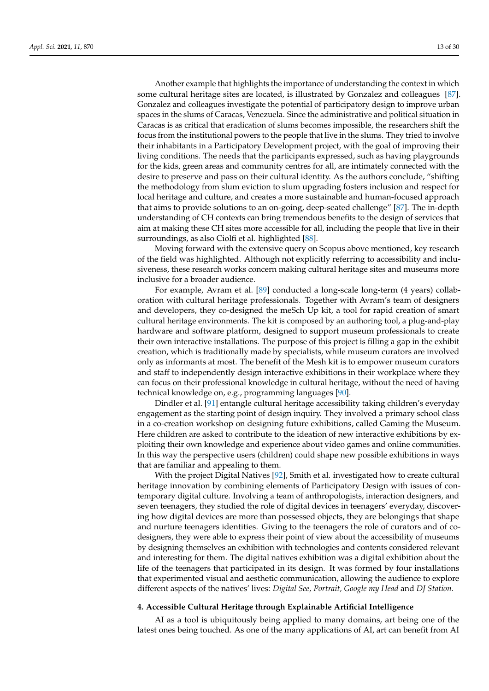Another example that highlights the importance of understanding the context in which some cultural heritage sites are located, is illustrated by Gonzalez and colleagues [\[87\]](#page-26-5). Gonzalez and colleagues investigate the potential of participatory design to improve urban spaces in the slums of Caracas, Venezuela. Since the administrative and political situation in Caracas is as critical that eradication of slums becomes impossible, the researchers shift the focus from the institutional powers to the people that live in the slums. They tried to involve their inhabitants in a Participatory Development project, with the goal of improving their living conditions. The needs that the participants expressed, such as having playgrounds for the kids, green areas and community centres for all, are intimately connected with the desire to preserve and pass on their cultural identity. As the authors conclude, "shifting the methodology from slum eviction to slum upgrading fosters inclusion and respect for local heritage and culture, and creates a more sustainable and human-focused approach that aims to provide solutions to an on-going, deep-seated challenge" [\[87\]](#page-26-5). The in-depth understanding of CH contexts can bring tremendous benefits to the design of services that aim at making these CH sites more accessible for all, including the people that live in their surroundings, as also Ciolfi et al. highlighted [\[88\]](#page-26-6).

Moving forward with the extensive query on Scopus above mentioned, key research of the field was highlighted. Although not explicitly referring to accessibility and inclusiveness, these research works concern making cultural heritage sites and museums more inclusive for a broader audience.

For example, Avram et al. [\[89\]](#page-26-7) conducted a long-scale long-term (4 years) collaboration with cultural heritage professionals. Together with Avram's team of designers and developers, they co-designed the meSch Up kit, a tool for rapid creation of smart cultural heritage environments. The kit is composed by an authoring tool, a plug-and-play hardware and software platform, designed to support museum professionals to create their own interactive installations. The purpose of this project is filling a gap in the exhibit creation, which is traditionally made by specialists, while museum curators are involved only as informants at most. The benefit of the Mesh kit is to empower museum curators and staff to independently design interactive exhibitions in their workplace where they can focus on their professional knowledge in cultural heritage, without the need of having technical knowledge on, e.g., programming languages [\[90\]](#page-26-8).

Dindler et al. [\[91\]](#page-26-9) entangle cultural heritage accessibility taking children's everyday engagement as the starting point of design inquiry. They involved a primary school class in a co-creation workshop on designing future exhibitions, called Gaming the Museum. Here children are asked to contribute to the ideation of new interactive exhibitions by exploiting their own knowledge and experience about video games and online communities. In this way the perspective users (children) could shape new possible exhibitions in ways that are familiar and appealing to them.

With the project Digital Natives [\[92\]](#page-26-10), Smith et al. investigated how to create cultural heritage innovation by combining elements of Participatory Design with issues of contemporary digital culture. Involving a team of anthropologists, interaction designers, and seven teenagers, they studied the role of digital devices in teenagers' everyday, discovering how digital devices are more than possessed objects, they are belongings that shape and nurture teenagers identities. Giving to the teenagers the role of curators and of codesigners, they were able to express their point of view about the accessibility of museums by designing themselves an exhibition with technologies and contents considered relevant and interesting for them. The digital natives exhibition was a digital exhibition about the life of the teenagers that participated in its design. It was formed by four installations that experimented visual and aesthetic communication, allowing the audience to explore different aspects of the natives' lives: *Digital See, Portrait, Google my Head* and *DJ Station*.

#### <span id="page-12-0"></span>**4. Accessible Cultural Heritage through Explainable Artificial Intelligence**

AI as a tool is ubiquitously being applied to many domains, art being one of the latest ones being touched. As one of the many applications of AI, art can benefit from AI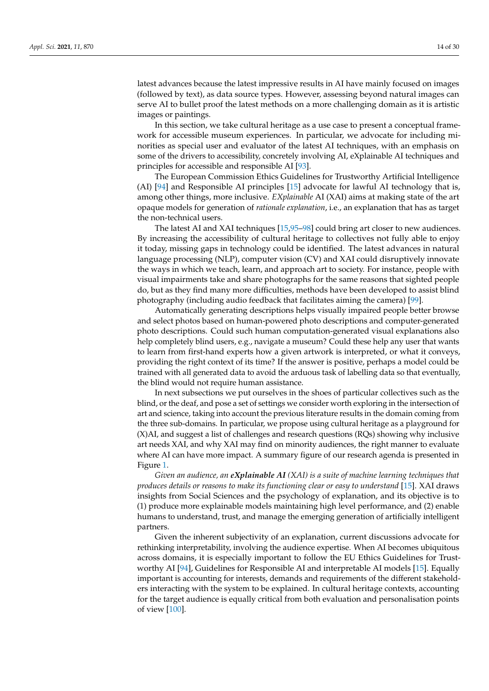latest advances because the latest impressive results in AI have mainly focused on images (followed by text), as data source types. However, assessing beyond natural images can serve AI to bullet proof the latest methods on a more challenging domain as it is artistic images or paintings.

In this section, we take cultural heritage as a use case to present a conceptual framework for accessible museum experiences. In particular, we advocate for including minorities as special user and evaluator of the latest AI techniques, with an emphasis on some of the drivers to accessibility, concretely involving AI, eXplainable AI techniques and principles for accessible and responsible AI [\[93\]](#page-26-11).

The European Commission Ethics Guidelines for Trustworthy Artificial Intelligence (AI) [\[94\]](#page-26-12) and Responsible AI principles [\[15\]](#page-23-14) advocate for lawful AI technology that is, among other things, more inclusive. *EXplainable* AI (XAI) aims at making state of the art opaque models for generation of *rationale explanation*, i.e., an explanation that has as target the non-technical users.

The latest AI and XAI techniques [\[15,](#page-23-14)[95–](#page-26-13)[98\]](#page-26-14) could bring art closer to new audiences. By increasing the accessibility of cultural heritage to collectives not fully able to enjoy it today, missing gaps in technology could be identified. The latest advances in natural language processing (NLP), computer vision (CV) and XAI could disruptively innovate the ways in which we teach, learn, and approach art to society. For instance, people with visual impairments take and share photographs for the same reasons that sighted people do, but as they find many more difficulties, methods have been developed to assist blind photography (including audio feedback that facilitates aiming the camera) [\[99\]](#page-26-15).

Automatically generating descriptions helps visually impaired people better browse and select photos based on human-powered photo descriptions and computer-generated photo descriptions. Could such human computation-generated visual explanations also help completely blind users, e.g., navigate a museum? Could these help any user that wants to learn from first-hand experts how a given artwork is interpreted, or what it conveys, providing the right context of its time? If the answer is positive, perhaps a model could be trained with all generated data to avoid the arduous task of labelling data so that eventually, the blind would not require human assistance.

In next subsections we put ourselves in the shoes of particular collectives such as the blind, or the deaf, and pose a set of settings we consider worth exploring in the intersection of art and science, taking into account the previous literature results in the domain coming from the three sub-domains. In particular, we propose using cultural heritage as a playground for (X)AI, and suggest a list of challenges and research questions (RQs) showing why inclusive art needs XAI, and why XAI may find on minority audiences, the right manner to evaluate where AI can have more impact. A summary figure of our research agenda is presented in Figure [1.](#page-14-0)

*Given an audience, an eXplainable AI (XAI) is a suite of machine learning techniques that produces details or reasons to make its functioning clear or easy to understand* [\[15\]](#page-23-14). XAI draws insights from Social Sciences and the psychology of explanation, and its objective is to (1) produce more explainable models maintaining high level performance, and (2) enable humans to understand, trust, and manage the emerging generation of artificially intelligent partners.

Given the inherent subjectivity of an explanation, current discussions advocate for rethinking interpretability, involving the audience expertise. When AI becomes ubiquitous across domains, it is especially important to follow the EU Ethics Guidelines for Trustworthy AI [\[94\]](#page-26-12), Guidelines for Responsible AI and interpretable AI models [\[15\]](#page-23-14). Equally important is accounting for interests, demands and requirements of the different stakeholders interacting with the system to be explained. In cultural heritage contexts, accounting for the target audience is equally critical from both evaluation and personalisation points of view [\[100\]](#page-26-16).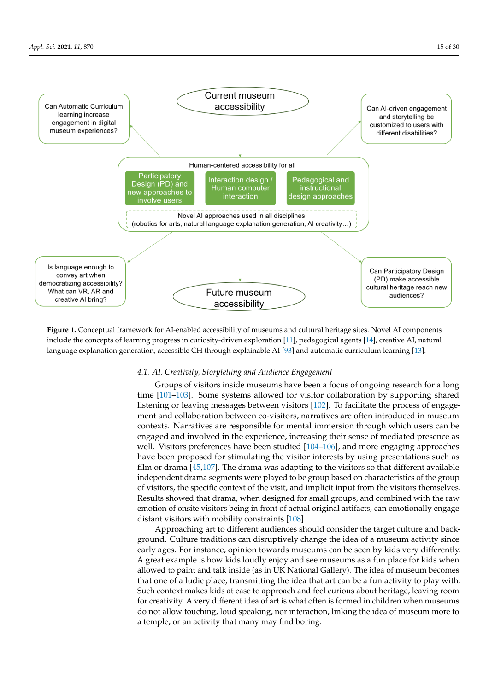<span id="page-14-0"></span>

**Figure 1.** Conceptual framework for AI-enabled accessibility of museums and cultural heritage sites. Novel AI components include the concepts of learning progress in curiosity-driven exploration [\[11\]](#page-23-10), pedagogical agents [\[14\]](#page-23-13), creative AI, natural language explanation generation, accessible CH through explainable AI [\[93\]](#page-26-11) and automatic curriculum learning [\[13\]](#page-23-12).

# *4.1. AI, Creativity, Storytelling and Audience Engagement*

Groups of visitors inside museums have been a focus of ongoing research for a long time [\[101](#page-26-17)[–103\]](#page-26-18). Some systems allowed for visitor collaboration by supporting shared listening or leaving messages between visitors [\[102\]](#page-26-19). To facilitate the process of engagement and collaboration between co-visitors, narratives are often introduced in museum contexts. Narratives are responsible for mental immersion through which users can be engaged and involved in the experience, increasing their sense of mediated presence as well. Visitors preferences have been studied [\[104](#page-26-20)[–106\]](#page-26-21), and more engaging approaches have been proposed for stimulating the visitor interests by using presentations such as film or drama [\[45](#page-24-18)[,107\]](#page-26-22). The drama was adapting to the visitors so that different available independent drama segments were played to be group based on characteristics of the group of visitors, the specific context of the visit, and implicit input from the visitors themselves. Results showed that drama, when designed for small groups, and combined with the raw emotion of onsite visitors being in front of actual original artifacts, can emotionally engage distant visitors with mobility constraints [\[108\]](#page-27-0).

Approaching art to different audiences should consider the target culture and background. Culture traditions can disruptively change the idea of a museum activity since early ages. For instance, opinion towards museums can be seen by kids very differently. A great example is how kids loudly enjoy and see museums as a fun place for kids when allowed to paint and talk inside (as in UK National Gallery). The idea of museum becomes that one of a ludic place, transmitting the idea that art can be a fun activity to play with. Such context makes kids at ease to approach and feel curious about heritage, leaving room for creativity. A very different idea of art is what often is formed in children when museums do not allow touching, loud speaking, nor interaction, linking the idea of museum more to a temple, or an activity that many may find boring.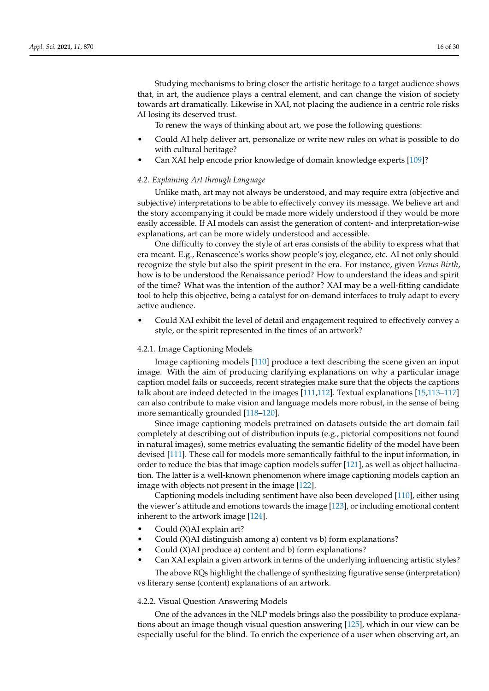Studying mechanisms to bring closer the artistic heritage to a target audience shows that, in art, the audience plays a central element, and can change the vision of society towards art dramatically. Likewise in XAI, not placing the audience in a centric role risks AI losing its deserved trust.

To renew the ways of thinking about art, we pose the following questions:

- Could AI help deliver art, personalize or write new rules on what is possible to do with cultural heritage?
- Can XAI help encode prior knowledge of domain knowledge experts [\[109\]](#page-27-1)?

#### *4.2. Explaining Art through Language*

Unlike math, art may not always be understood, and may require extra (objective and subjective) interpretations to be able to effectively convey its message. We believe art and the story accompanying it could be made more widely understood if they would be more easily accessible. If AI models can assist the generation of content- and interpretation-wise explanations, art can be more widely understood and accessible.

One difficulty to convey the style of art eras consists of the ability to express what that era meant. E.g., Renascence's works show people's joy, elegance, etc. AI not only should recognize the style but also the spirit present in the era. For instance, given *Venus Birth*, how is to be understood the Renaissance period? How to understand the ideas and spirit of the time? What was the intention of the author? XAI may be a well-fitting candidate tool to help this objective, being a catalyst for on-demand interfaces to truly adapt to every active audience.

• Could XAI exhibit the level of detail and engagement required to effectively convey a style, or the spirit represented in the times of an artwork?

#### 4.2.1. Image Captioning Models

Image captioning models [\[110\]](#page-27-2) produce a text describing the scene given an input image. With the aim of producing clarifying explanations on why a particular image caption model fails or succeeds, recent strategies make sure that the objects the captions talk about are indeed detected in the images [\[111](#page-27-3)[,112\]](#page-27-4). Textual explanations [\[15](#page-23-14)[,113–](#page-27-5)[117\]](#page-27-6) can also contribute to make vision and language models more robust, in the sense of being more semantically grounded [\[118–](#page-27-7)[120\]](#page-27-8).

Since image captioning models pretrained on datasets outside the art domain fail completely at describing out of distribution inputs (e.g., pictorial compositions not found in natural images), some metrics evaluating the semantic fidelity of the model have been devised [\[111\]](#page-27-3). These call for models more semantically faithful to the input information, in order to reduce the bias that image caption models suffer [\[121\]](#page-27-9), as well as object hallucination. The latter is a well-known phenomenon where image captioning models caption an image with objects not present in the image [\[122\]](#page-27-10).

Captioning models including sentiment have also been developed [\[110\]](#page-27-2), either using the viewer's attitude and emotions towards the image [\[123\]](#page-27-11), or including emotional content inherent to the artwork image [\[124\]](#page-27-12).

- Could (X)AI explain art?
- Could (X)AI distinguish among a) content vs b) form explanations?
- Could (X)AI produce a) content and b) form explanations?
- Can XAI explain a given artwork in terms of the underlying influencing artistic styles? The above RQs highlight the challenge of synthesizing figurative sense (interpretation)

# 4.2.2. Visual Question Answering Models

vs literary sense (content) explanations of an artwork.

One of the advances in the NLP models brings also the possibility to produce explanations about an image though visual question answering [\[125\]](#page-27-13), which in our view can be especially useful for the blind. To enrich the experience of a user when observing art, an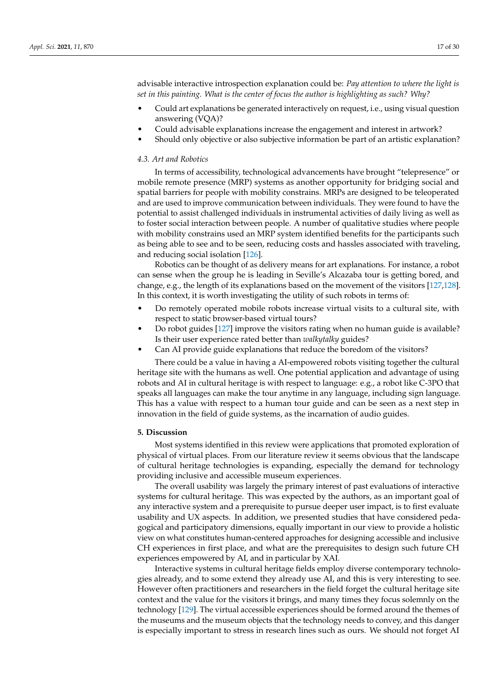advisable interactive introspection explanation could be: *Pay attention to where the light is set in this painting. What is the center of focus the author is highlighting as such? Why?*

- Could art explanations be generated interactively on request, i.e., using visual question answering (VQA)?
- Could advisable explanations increase the engagement and interest in artwork?
- Should only objective or also subjective information be part of an artistic explanation?

# *4.3. Art and Robotics*

In terms of accessibility, technological advancements have brought "telepresence" or mobile remote presence (MRP) systems as another opportunity for bridging social and spatial barriers for people with mobility constrains. MRPs are designed to be teleoperated and are used to improve communication between individuals. They were found to have the potential to assist challenged individuals in instrumental activities of daily living as well as to foster social interaction between people. A number of qualitative studies where people with mobility constrains used an MRP system identified benefits for the participants such as being able to see and to be seen, reducing costs and hassles associated with traveling, and reducing social isolation [\[126\]](#page-27-14).

Robotics can be thought of as delivery means for art explanations. For instance, a robot can sense when the group he is leading in Seville's Alcazaba tour is getting bored, and change, e.g., the length of its explanations based on the movement of the visitors [\[127](#page-27-15)[,128\]](#page-27-16). In this context, it is worth investigating the utility of such robots in terms of:

- Do remotely operated mobile robots increase virtual visits to a cultural site, with respect to static browser-based virtual tours?
- Do robot guides [\[127\]](#page-27-15) improve the visitors rating when no human guide is available? Is their user experience rated better than *walkytalky* guides?
- Can AI provide guide explanations that reduce the boredom of the visitors?

There could be a value in having a AI-empowered robots visiting together the cultural heritage site with the humans as well. One potential application and advantage of using robots and AI in cultural heritage is with respect to language: e.g., a robot like C-3PO that speaks all languages can make the tour anytime in any language, including sign language. This has a value with respect to a human tour guide and can be seen as a next step in innovation in the field of guide systems, as the incarnation of audio guides.

#### **5. Discussion**

Most systems identified in this review were applications that promoted exploration of physical of virtual places. From our literature review it seems obvious that the landscape of cultural heritage technologies is expanding, especially the demand for technology providing inclusive and accessible museum experiences.

The overall usability was largely the primary interest of past evaluations of interactive systems for cultural heritage. This was expected by the authors, as an important goal of any interactive system and a prerequisite to pursue deeper user impact, is to first evaluate usability and UX aspects. In addition, we presented studies that have considered pedagogical and participatory dimensions, equally important in our view to provide a holistic view on what constitutes human-centered approaches for designing accessible and inclusive CH experiences in first place, and what are the prerequisites to design such future CH experiences empowered by AI, and in particular by XAI.

Interactive systems in cultural heritage fields employ diverse contemporary technologies already, and to some extend they already use AI, and this is very interesting to see. However often practitioners and researchers in the field forget the cultural heritage site context and the value for the visitors it brings, and many times they focus solemnly on the technology [\[129\]](#page-27-17). The virtual accessible experiences should be formed around the themes of the museums and the museum objects that the technology needs to convey, and this danger is especially important to stress in research lines such as ours. We should not forget AI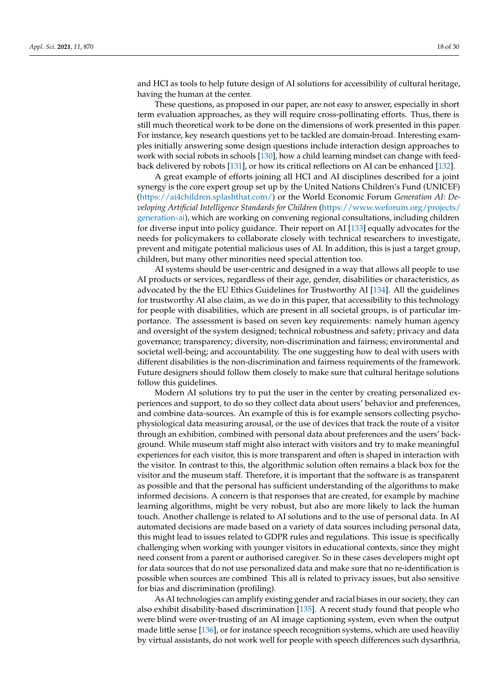and HCI as tools to help future design of AI solutions for accessibility of cultural heritage, having the human at the center.

These questions, as proposed in our paper, are not easy to answer, especially in short term evaluation approaches, as they will require cross-pollinating efforts. Thus, there is still much theoretical work to be done on the dimensions of work presented in this paper. For instance, key research questions yet to be tackled are domain-broad. Interesting examples initially answering some design questions include interaction design approaches to work with social robots in schools [\[130\]](#page-28-0), how a child learning mindset can change with feedback delivered by robots [\[131\]](#page-28-1), or how its critical reflections on AI can be enhanced [\[132\]](#page-28-2).

A great example of efforts joining all HCI and AI disciplines described for a joint synergy is the core expert group set up by the United Nations Children's Fund (UNICEF) [\(https://ai4children.splashthat.com/\)](https://ai4children.splashthat.com/) or the World Economic Forum *Generation AI: Developing Artificial Intelligence Standards for Children* [\(https://www.weforum.org/projects/](https://www.weforum.org/projects/generation-ai) [generation-ai\)](https://www.weforum.org/projects/generation-ai), which are working on convening regional consultations, including children for diverse input into policy guidance. Their report on AI [\[133\]](#page-28-3) equally advocates for the needs for policymakers to collaborate closely with technical researchers to investigate, prevent and mitigate potential malicious uses of AI. In addition, this is just a target group, children, but many other minorities need special attention too.

AI systems should be user-centric and designed in a way that allows all people to use AI products or services, regardless of their age, gender, disabilities or characteristics, as advocated by the the EU Ethics Guidelines for Trustworthy AI [\[134\]](#page-28-4). All the guidelines for trustworthy AI also claim, as we do in this paper, that accessibility to this technology for people with disabilities, which are present in all societal groups, is of particular importance. The assessment is based on seven key requirements: namely human agency and oversight of the system designed; technical robustness and safety; privacy and data governance; transparency; diversity, non-discrimination and fairness; environmental and societal well-being; and accountability. The one suggesting how to deal with users with different disabilities is the non-discrimination and fairness requirements of the framework. Future designers should follow them closely to make sure that cultural heritage solutions follow this guidelines.

Modern AI solutions try to put the user in the center by creating personalized experiences and support, to do so they collect data about users' behavior and preferences, and combine data-sources. An example of this is for example sensors collecting psychophysiological data measuring arousal, or the use of devices that track the route of a visitor through an exhibition, combined with personal data about preferences and the users' background. While museum staff might also interact with visitors and try to make meaningful experiences for each visitor, this is more transparent and often is shaped in interaction with the visitor. In contrast to this, the algorithmic solution often remains a black box for the visitor and the museum staff. Therefore, it is important that the software is as transparent as possible and that the personal has sufficient understanding of the algorithms to make informed decisions. A concern is that responses that are created, for example by machine learning algorithms, might be very robust, but also are more likely to lack the human touch. Another challenge is related to AI solutions and to the use of personal data. In AI automated decisions are made based on a variety of data sources including personal data, this might lead to issues related to GDPR rules and regulations. This issue is specifically challenging when working with younger visitors in educational contexts, since they might need consent from a parent or authorised caregiver. So in these cases developers might opt for data sources that do not use personalized data and make sure that no re-identification is possible when sources are combined This all is related to privacy issues, but also sensitive for bias and discrimination (profiling).

As AI technologies can amplify existing gender and racial biases in our society, they can also exhibit disability-based discrimination [\[135\]](#page-28-5). A recent study found that people who were blind were over-trusting of an AI image captioning system, even when the output made little sense [\[136\]](#page-28-6), or for instance speech recognition systems, which are used heaviliy by virtual assistants, do not work well for people with speech differences such dysarthria,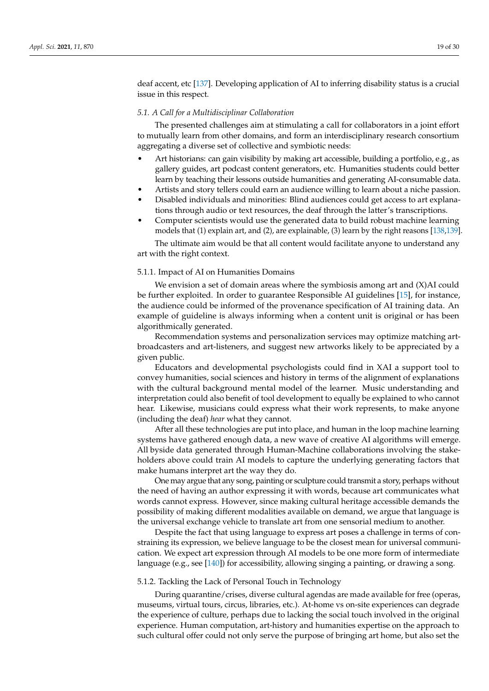deaf accent, etc [\[137\]](#page-28-7). Developing application of AI to inferring disability status is a crucial issue in this respect.

# *5.1. A Call for a Multidisciplinar Collaboration*

The presented challenges aim at stimulating a call for collaborators in a joint effort to mutually learn from other domains, and form an interdisciplinary research consortium aggregating a diverse set of collective and symbiotic needs:

- Art historians: can gain visibility by making art accessible, building a portfolio, e.g., as gallery guides, art podcast content generators, etc. Humanities students could better learn by teaching their lessons outside humanities and generating AI-consumable data.
- Artists and story tellers could earn an audience willing to learn about a niche passion.
- Disabled individuals and minorities: Blind audiences could get access to art explanations through audio or text resources, the deaf through the latter's transcriptions.
- Computer scientists would use the generated data to build robust machine learning models that (1) explain art, and (2), are explainable, (3) learn by the right reasons [\[138,](#page-28-8)[139\]](#page-28-9).

The ultimate aim would be that all content would facilitate anyone to understand any art with the right context.

# 5.1.1. Impact of AI on Humanities Domains

We envision a set of domain areas where the symbiosis among art and  $(X)$ AI could be further exploited. In order to guarantee Responsible AI guidelines [\[15\]](#page-23-14), for instance, the audience could be informed of the provenance specification of AI training data. An example of guideline is always informing when a content unit is original or has been algorithmically generated.

Recommendation systems and personalization services may optimize matching artbroadcasters and art-listeners, and suggest new artworks likely to be appreciated by a given public.

Educators and developmental psychologists could find in XAI a support tool to convey humanities, social sciences and history in terms of the alignment of explanations with the cultural background mental model of the learner. Music understanding and interpretation could also benefit of tool development to equally be explained to who cannot hear. Likewise, musicians could express what their work represents, to make anyone (including the deaf) *hear* what they cannot.

After all these technologies are put into place, and human in the loop machine learning systems have gathered enough data, a new wave of creative AI algorithms will emerge. All byside data generated through Human-Machine collaborations involving the stakeholders above could train AI models to capture the underlying generating factors that make humans interpret art the way they do.

One may argue that any song, painting or sculpture could transmit a story, perhaps without the need of having an author expressing it with words, because art communicates what words cannot express. However, since making cultural heritage accessible demands the possibility of making different modalities available on demand, we argue that language is the universal exchange vehicle to translate art from one sensorial medium to another.

Despite the fact that using language to express art poses a challenge in terms of constraining its expression, we believe language to be the closest mean for universal communication. We expect art expression through AI models to be one more form of intermediate language (e.g., see [\[140\]](#page-28-10)) for accessibility, allowing singing a painting, or drawing a song.

#### 5.1.2. Tackling the Lack of Personal Touch in Technology

During quarantine/crises, diverse cultural agendas are made available for free (operas, museums, virtual tours, circus, libraries, etc.). At-home vs on-site experiences can degrade the experience of culture, perhaps due to lacking the social touch involved in the original experience. Human computation, art-history and humanities expertise on the approach to such cultural offer could not only serve the purpose of bringing art home, but also set the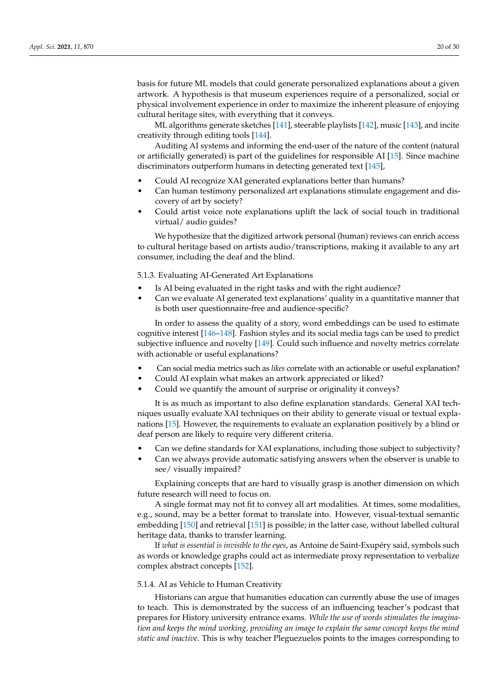basis for future ML models that could generate personalized explanations about a given artwork. A hypothesis is that museum experiences require of a personalized, social or physical involvement experience in order to maximize the inherent pleasure of enjoying cultural heritage sites, with everything that it conveys.

ML algorithms generate sketches [\[141\]](#page-28-11), steerable playlists [\[142\]](#page-28-12), music [\[143\]](#page-28-13), and incite creativity through editing tools [\[144\]](#page-28-14).

Auditing AI systems and informing the end-user of the nature of the content (natural or artificially generated) is part of the guidelines for responsible AI [\[15\]](#page-23-14). Since machine discriminators outperform humans in detecting generated text [\[145\]](#page-28-15),

- Could AI recognize XAI generated explanations better than humans?
- Can human testimony personalized art explanations stimulate engagement and discovery of art by society?
- Could artist voice note explanations uplift the lack of social touch in traditional virtual/ audio guides?

We hypothesize that the digitized artwork personal (human) reviews can enrich access to cultural heritage based on artists audio/transcriptions, making it available to any art consumer, including the deaf and the blind.

5.1.3. Evaluating AI-Generated Art Explanations

- Is AI being evaluated in the right tasks and with the right audience?
- Can we evaluate AI generated text explanations' quality in a quantitative manner that is both user questionnaire-free and audience-specific?

In order to assess the quality of a story, word embeddings can be used to estimate cognitive interest [\[146–](#page-28-16)[148\]](#page-28-17). Fashion styles and its social media tags can be used to predict subjective influence and novelty [\[149\]](#page-28-18). Could such influence and novelty metrics correlate with actionable or useful explanations?

- Can social media metrics such as *likes* correlate with an actionable or useful explanation?
- Could AI explain what makes an artwork appreciated or liked?
- Could we quantify the amount of surprise or originality it conveys?

It is as much as important to also define explanation standards. General XAI techniques usually evaluate XAI techniques on their ability to generate visual or textual explanations [\[15\]](#page-23-14). However, the requirements to evaluate an explanation positively by a blind or deaf person are likely to require very different criteria.

- Can we define standards for XAI explanations, including those subject to subjectivity?
- Can we always provide automatic satisfying answers when the observer is unable to see/ visually impaired?

Explaining concepts that are hard to visually grasp is another dimension on which future research will need to focus on.

A single format may not fit to convey all art modalities. At times, some modalities, e.g., sound, may be a better format to translate into. However, visual-textual semantic embedding [\[150\]](#page-28-19) and retrieval [\[151\]](#page-28-20) is possible; in the latter case, without labelled cultural heritage data, thanks to transfer learning.

If *what is essential is invisible to the eyes*, as Antoine de Saint-Exupéry said, symbols such as words or knowledge graphs could act as intermediate proxy representation to verbalize complex abstract concepts [\[152\]](#page-28-21).

#### 5.1.4. AI as Vehicle to Human Creativity

Historians can argue that humanities education can currently abuse the use of images to teach. This is demonstrated by the success of an influencing teacher's podcast that prepares for History university entrance exams. *While the use of words stimulates the imagination and keeps the mind working, providing an image to explain the same concept keeps the mind static and inactive*. This is why teacher Pleguezuelos points to the images corresponding to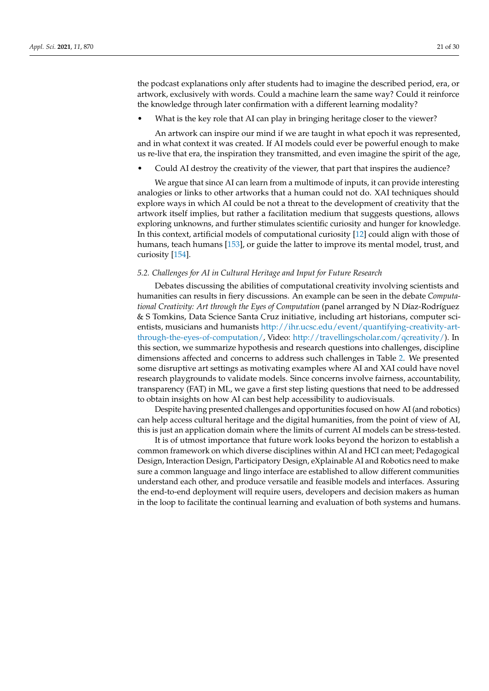the podcast explanations only after students had to imagine the described period, era, or artwork, exclusively with words. Could a machine learn the same way? Could it reinforce the knowledge through later confirmation with a different learning modality?

What is the key role that AI can play in bringing heritage closer to the viewer?

An artwork can inspire our mind if we are taught in what epoch it was represented, and in what context it was created. If AI models could ever be powerful enough to make us re-live that era, the inspiration they transmitted, and even imagine the spirit of the age,

• Could AI destroy the creativity of the viewer, that part that inspires the audience?

We argue that since AI can learn from a multimode of inputs, it can provide interesting analogies or links to other artworks that a human could not do. XAI techniques should explore ways in which AI could be not a threat to the development of creativity that the artwork itself implies, but rather a facilitation medium that suggests questions, allows exploring unknowns, and further stimulates scientific curiosity and hunger for knowledge. In this context, artificial models of computational curiosity [\[12\]](#page-23-11) could align with those of humans, teach humans [\[153\]](#page-28-22), or guide the latter to improve its mental model, trust, and curiosity [\[154\]](#page-28-23).

# *5.2. Challenges for AI in Cultural Heritage and Input for Future Research*

Debates discussing the abilities of computational creativity involving scientists and humanities can results in fiery discussions. An example can be seen in the debate *Computational Creativity: Art through the Eyes of Computation* (panel arranged by N Díaz-Rodríguez & S Tomkins, Data Science Santa Cruz initiative, including art historians, computer scientists, musicians and humanists [http://ihr.ucsc.edu/event/quantifying-creativity-art](http://ihr.ucsc.edu/event/quantifying-creativity-art-through-the-eyes-of-computation/)[through-the-eyes-of-computation/,](http://ihr.ucsc.edu/event/quantifying-creativity-art-through-the-eyes-of-computation/) Video: [http://travellingscholar.com/qcreativity/\)](http://travellingscholar.com/qcreativity/). In this section, we summarize hypothesis and research questions into challenges, discipline dimensions affected and concerns to address such challenges in Table [2.](#page-21-0) We presented some disruptive art settings as motivating examples where AI and XAI could have novel research playgrounds to validate models. Since concerns involve fairness, accountability, transparency (FAT) in ML, we gave a first step listing questions that need to be addressed to obtain insights on how AI can best help accessibility to audiovisuals.

Despite having presented challenges and opportunities focused on how AI (and robotics) can help access cultural heritage and the digital humanities, from the point of view of AI, this is just an application domain where the limits of current AI models can be stress-tested.

It is of utmost importance that future work looks beyond the horizon to establish a common framework on which diverse disciplines within AI and HCI can meet; Pedagogical Design, Interaction Design, Participatory Design, eXplainable AI and Robotics need to make sure a common language and lingo interface are established to allow different communities understand each other, and produce versatile and feasible models and interfaces. Assuring the end-to-end deployment will require users, developers and decision makers as human in the loop to facilitate the continual learning and evaluation of both systems and humans.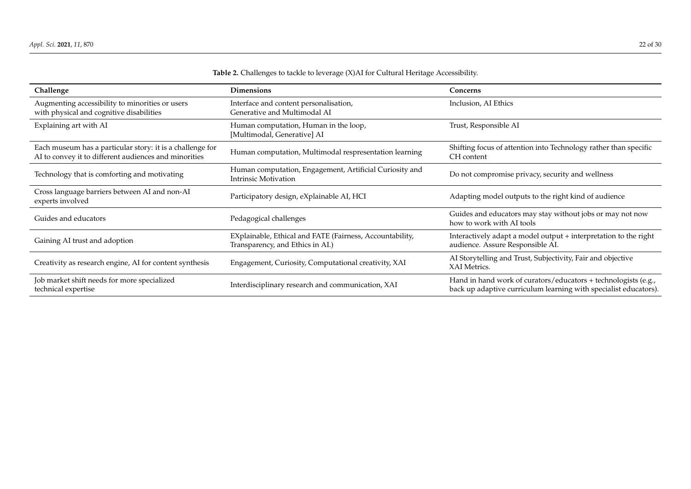<span id="page-21-0"></span>

| Challenge                                                                                                          | <b>Dimensions</b>                                                                            | Concerns                                                                                                                           |
|--------------------------------------------------------------------------------------------------------------------|----------------------------------------------------------------------------------------------|------------------------------------------------------------------------------------------------------------------------------------|
| Augmenting accessibility to minorities or users<br>with physical and cognitive disabilities                        | Interface and content personalisation,<br>Generative and Multimodal AI                       | Inclusion, AI Ethics                                                                                                               |
| Explaining art with AI                                                                                             | Human computation, Human in the loop,<br>[Multimodal, Generative] AI                         | Trust, Responsible AI                                                                                                              |
| Each museum has a particular story: it is a challenge for<br>AI to convey it to different audiences and minorities | Human computation, Multimodal respresentation learning                                       | Shifting focus of attention into Technology rather than specific<br>CH content                                                     |
| Technology that is comforting and motivating                                                                       | Human computation, Engagement, Artificial Curiosity and<br><b>Intrinsic Motivation</b>       | Do not compromise privacy, security and wellness                                                                                   |
| Cross language barriers between AI and non-AI<br>experts involved                                                  | Participatory design, eXplainable AI, HCI                                                    | Adapting model outputs to the right kind of audience                                                                               |
| Guides and educators                                                                                               | Pedagogical challenges                                                                       | Guides and educators may stay without jobs or may not now<br>how to work with AI tools                                             |
| Gaining AI trust and adoption                                                                                      | EXplainable, Ethical and FATE (Fairness, Accountability,<br>Transparency, and Ethics in AI.) | Interactively adapt a model output + interpretation to the right<br>audience. Assure Responsible AI.                               |
| Creativity as research engine, AI for content synthesis                                                            | Engagement, Curiosity, Computational creativity, XAI                                         | AI Storytelling and Trust, Subjectivity, Fair and objective<br>XAI Metrics.                                                        |
| Job market shift needs for more specialized<br>technical expertise                                                 | Interdisciplinary research and communication, XAI                                            | Hand in hand work of curators/educators + technologists (e.g.,<br>back up adaptive curriculum learning with specialist educators). |

# **Table 2.** Challenges to tackle to leverage (X)AI for Cultural Heritage Accessibility.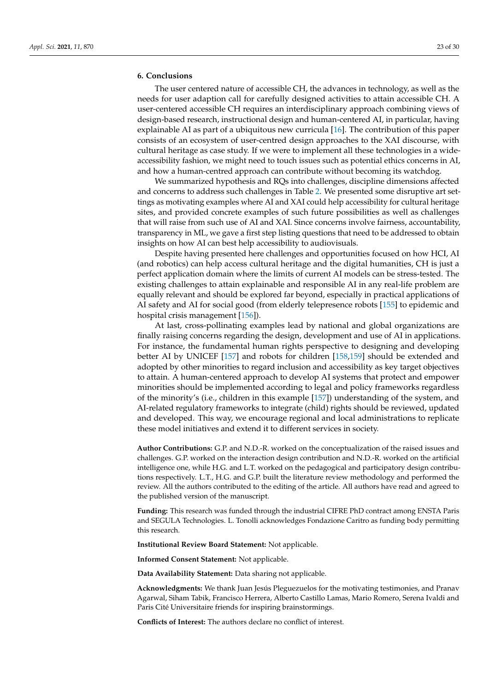# **6. Conclusions**

The user centered nature of accessible CH, the advances in technology, as well as the needs for user adaption call for carefully designed activities to attain accessible CH. A user-centered accessible CH requires an interdisciplinary approach combining views of design-based research, instructional design and human-centered AI, in particular, having explainable AI as part of a ubiquitous new curricula [\[16\]](#page-23-15). The contribution of this paper consists of an ecosystem of user-centred design approaches to the XAI discourse, with cultural heritage as case study. If we were to implement all these technologies in a wideaccessibility fashion, we might need to touch issues such as potential ethics concerns in AI, and how a human-centred approach can contribute without becoming its watchdog.

We summarized hypothesis and RQs into challenges, discipline dimensions affected and concerns to address such challenges in Table [2.](#page-21-0) We presented some disruptive art settings as motivating examples where AI and XAI could help accessibility for cultural heritage sites, and provided concrete examples of such future possibilities as well as challenges that will raise from such use of AI and XAI. Since concerns involve fairness, accountability, transparency in ML, we gave a first step listing questions that need to be addressed to obtain insights on how AI can best help accessibility to audiovisuals.

Despite having presented here challenges and opportunities focused on how HCI, AI (and robotics) can help access cultural heritage and the digital humanities, CH is just a perfect application domain where the limits of current AI models can be stress-tested. The existing challenges to attain explainable and responsible AI in any real-life problem are equally relevant and should be explored far beyond, especially in practical applications of AI safety and AI for social good (from elderly telepresence robots [\[155\]](#page-29-0) to epidemic and hospital crisis management [\[156\]](#page-29-1)).

At last, cross-pollinating examples lead by national and global organizations are finally raising concerns regarding the design, development and use of AI in applications. For instance, the fundamental human rights perspective to designing and developing better AI by UNICEF [\[157\]](#page-29-2) and robots for children [\[158](#page-29-3)[,159\]](#page-29-4) should be extended and adopted by other minorities to regard inclusion and accessibility as key target objectives to attain. A human-centered approach to develop AI systems that protect and empower minorities should be implemented according to legal and policy frameworks regardless of the minority's (i.e., children in this example [\[157\]](#page-29-2)) understanding of the system, and AI-related regulatory frameworks to integrate (child) rights should be reviewed, updated and developed. This way, we encourage regional and local administrations to replicate these model initiatives and extend it to different services in society.

**Author Contributions:** G.P. and N.D.-R. worked on the conceptualization of the raised issues and challenges. G.P. worked on the interaction design contribution and N.D.-R. worked on the artificial intelligence one, while H.G. and L.T. worked on the pedagogical and participatory design contributions respectively. L.T., H.G. and G.P. built the literature review methodology and performed the review. All the authors contributed to the editing of the article. All authors have read and agreed to the published version of the manuscript.

**Funding:** This research was funded through the industrial CIFRE PhD contract among ENSTA Paris and SEGULA Technologies. L. Tonolli acknowledges Fondazione Caritro as funding body permitting this research.

**Institutional Review Board Statement:** Not applicable.

**Informed Consent Statement:** Not applicable.

**Data Availability Statement:** Data sharing not applicable.

**Acknowledgments:** We thank Juan Jesús Pleguezuelos for the motivating testimonies, and Pranav Agarwal, Siham Tabik, Francisco Herrera, Alberto Castillo Lamas, Mario Romero, Serena Ivaldi and Paris Cité Universitaire friends for inspiring brainstormings.

**Conflicts of Interest:** The authors declare no conflict of interest.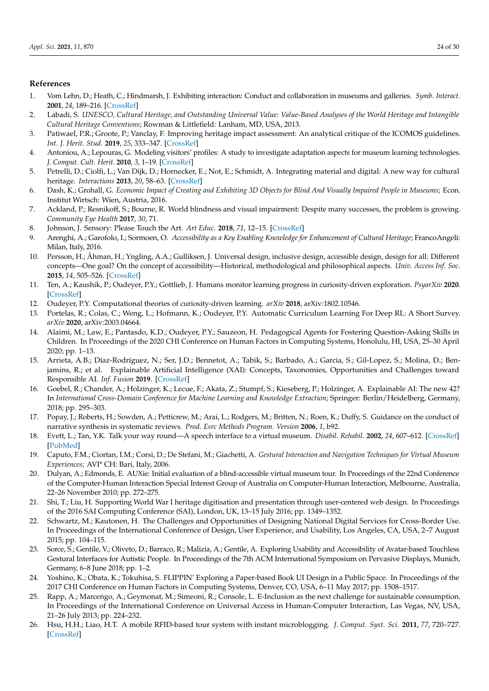# **References**

- <span id="page-23-0"></span>1. Vom Lehn, D.; Heath, C.; Hindmarsh, J. Exhibiting interaction: Conduct and collaboration in museums and galleries. *Symb. Interact.* **2001**, *24*, 189–216. [\[CrossRef\]](http://doi.org/10.1525/si.2001.24.2.189)
- <span id="page-23-1"></span>2. Labadi, S. *UNESCO, Cultural Heritage, and Outstanding Universal Value: Value-Based Analyses of the World Heritage and Intangible Cultural Heritage Conventions*; Rowman & Littlefield: Lanham, MD, USA, 2013.
- <span id="page-23-2"></span>3. Patiwael, P.R.; Groote, P.; Vanclay, F. Improving heritage impact assessment: An analytical critique of the ICOMOS guidelines. *Int. J. Herit. Stud.* **2019**, *25*, 333–347. [\[CrossRef\]](http://dx.doi.org/10.1080/13527258.2018.1477057)
- <span id="page-23-3"></span>4. Antoniou, A.; Lepouras, G. Modeling visitors' profiles: A study to investigate adaptation aspects for museum learning technologies. *J. Comput. Cult. Herit.* **2010**, *3*, 1–19. [\[CrossRef\]](http://dx.doi.org/10.1145/1841317.1841322)
- <span id="page-23-4"></span>5. Petrelli, D.; Ciolfi, L.; Van Dijk, D.; Hornecker, E.; Not, E.; Schmidt, A. Integrating material and digital: A new way for cultural heritage. *Interactions* **2013**, *20*, 58–63. [\[CrossRef\]](http://dx.doi.org/10.1145/2486227.2486239)
- <span id="page-23-5"></span>6. Dash, K.; Grohall, G. *Economic Impact of Creating and Exhibiting 3D Objects for Blind And Visually Impaired People in Museums*; Econ. Institut Wirtsch: Wien, Austria, 2016.
- <span id="page-23-6"></span>7. Ackland, P.; Resnikoff, S.; Bourne, R. World blindness and visual impairment: Despite many successes, the problem is growing. *Community Eye Health* **2017**, *30*, 71.
- <span id="page-23-7"></span>8. Johnson, J. Sensory: Please Touch the Art. *Art Educ.* **2018**, *71*, 12–15. [\[CrossRef\]](http://dx.doi.org/10.1080/00043125.2018.1389580)
- <span id="page-23-8"></span>9. Arenghi, A.; Garofolo, I.; Sormoen, O. *Accessibility as a Key Enabling Knowledge for Enhancement of Cultural Heritage*; FrancoAngeli: Milan, Italy, 2016.
- <span id="page-23-9"></span>10. Persson, H.; Åhman, H.; Yngling, A.A.; Gulliksen, J. Universal design, inclusive design, accessible design, design for all: Different concepts—One goal? On the concept of accessibility—Historical, methodological and philosophical aspects. *Univ. Access Inf. Soc.* **2015**, *14*, 505–526. [\[CrossRef\]](http://dx.doi.org/10.1007/s10209-014-0358-z)
- <span id="page-23-10"></span>11. Ten, A.; Kaushik, P.; Oudeyer, P.Y.; Gottlieb, J. Humans monitor learning progress in curiosity-driven exploration. *PsyarXiv* **2020**. [\[CrossRef\]](http://dx.doi.org/10.31234/osf.io/7dbr6)
- <span id="page-23-11"></span>12. Oudeyer, P.Y. Computational theories of curiosity-driven learning. *arXiv* **2018**, arXiv:1802.10546.
- <span id="page-23-12"></span>13. Portelas, R.; Colas, C.; Weng, L.; Hofmann, K.; Oudeyer, P.Y. Automatic Curriculum Learning For Deep RL: A Short Survey. *arXiv* **2020**, arXiv:2003.04664.
- <span id="page-23-13"></span>14. Alaimi, M.; Law, E.; Pantasdo, K.D.; Oudeyer, P.Y.; Sauzeon, H. Pedagogical Agents for Fostering Question-Asking Skills in Children. In Proceedings of the 2020 CHI Conference on Human Factors in Computing Systems, Honolulu, HI, USA, 25–30 April 2020; pp. 1–13.
- <span id="page-23-14"></span>15. Arrieta, A.B.; Díaz-Rodríguez, N.; Ser, J.D.; Bennetot, A.; Tabik, S.; Barbado, A.; Garcia, S.; Gil-Lopez, S.; Molina, D.; Benjamins, R.; et al. Explainable Artificial Intelligence (XAI): Concepts, Taxonomies, Opportunities and Challenges toward Responsible AI. *Inf. Fusion* **2019**. [\[CrossRef\]](http://dx.doi.org/10.1016/j.inffus.2019.12.012)
- <span id="page-23-15"></span>16. Goebel, R.; Chander, A.; Holzinger, K.; Lecue, F.; Akata, Z.; Stumpf, S.; Kieseberg, P.; Holzinger, A. Explainable AI: The new 42? In *International Cross-Domain Conference for Machine Learning and Knowledge Extraction;* Springer: Berlin/Heidelberg, Germany, 2018; pp. 295–303.
- <span id="page-23-16"></span>17. Popay, J.; Roberts, H.; Sowden, A.; Petticrew, M.; Arai, L.; Rodgers, M.; Britten, N.; Roen, K.; Duffy, S. Guidance on the conduct of narrative synthesis in systematic reviews. *Prod. Esrc Methods Program. Version* **2006**, *1*, b92.
- <span id="page-23-17"></span>18. Evett, L.; Tan, Y.K. Talk your way round—A speech interface to a virtual museum. *Disabil. Rehabil.* **2002**, *24*, 607–612. [\[CrossRef\]](http://dx.doi.org/10.1080/09638280110111379) [\[PubMed\]](http://www.ncbi.nlm.nih.gov/pubmed/12182800)
- <span id="page-23-19"></span>19. Caputo, F.M.; Ciortan, I.M.; Corsi, D.; De Stefani, M.; Giachetti, A. *Gestural Interaction and Navigation Techniques for Virtual Museum Experiences*; AVI\* CH: Bari, Italy, 2006.
- <span id="page-23-18"></span>20. Dulyan, A.; Edmonds, E. AUXie: Initial evaluation of a blind-accessible virtual museum tour. In Proceedings of the 22nd Conference of the Computer-Human Interaction Special Interest Group of Australia on Computer-Human Interaction, Melbourne, Australia, 22–26 November 2010; pp. 272–275.
- <span id="page-23-20"></span>21. Shi, T.; Liu, H. Supporting World War I heritage digitisation and presentation through user-centered web design. In Proceedings of the 2016 SAI Computing Conference (SAI), London, UK, 13–15 July 2016; pp. 1349–1352.
- <span id="page-23-21"></span>22. Schwartz, M.; Kautonen, H. The Challenges and Opportunities of Designing National Digital Services for Cross-Border Use. In Proceedings of the International Conference of Design, User Experience, and Usability, Los Angeles, CA, USA, 2–7 August 2015; pp. 104–115.
- <span id="page-23-22"></span>23. Sorce, S.; Gentile, V.; Oliveto, D.; Barraco, R.; Malizia, A.; Gentile, A. Exploring Usability and Accessibility of Avatar-based Touchless Gestural Interfaces for Autistic People. In Proceedings of the 7th ACM International Symposium on Pervasive Displays, Munich, Germany, 6–8 June 2018; pp. 1–2.
- <span id="page-23-23"></span>24. Yoshino, K.; Obata, K.; Tokuhisa, S. FLIPPIN' Exploring a Paper-based Book UI Design in a Public Space. In Proceedings of the 2017 CHI Conference on Human Factors in Computing Systems, Denver, CO, USA, 6–11 May 2017; pp. 1508–1517.
- <span id="page-23-24"></span>25. Rapp, A.; Marcengo, A.; Geymonat, M.; Simeoni, R.; Console, L. E-Inclusion as the next challenge for sustainable consumption. In Proceedings of the International Conference on Universal Access in Human-Computer Interaction, Las Vegas, NV, USA, 21–26 July 2013; pp. 224–232.
- <span id="page-23-25"></span>26. Hsu, H.H.; Liao, H.T. A mobile RFID-based tour system with instant microblogging. *J. Comput. Syst. Sci.* **2011**, *77*, 720–727. [\[CrossRef\]](http://dx.doi.org/10.1016/j.jcss.2010.02.011)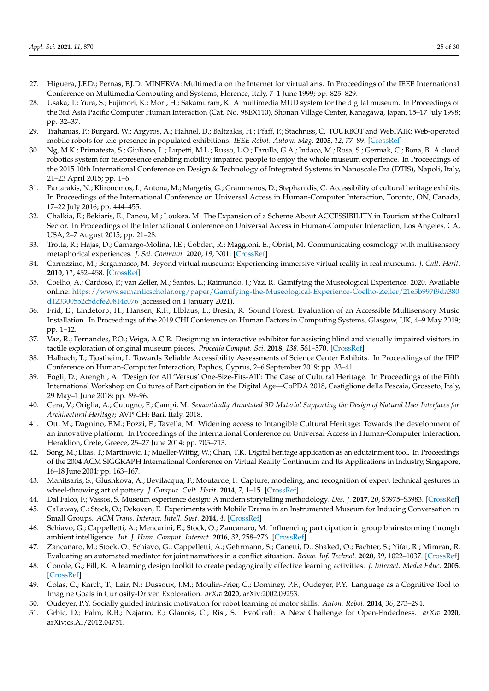- <span id="page-24-0"></span>27. Higuera, J.F.D.; Pernas, F.J.D. MINERVA: Multimedia on the Internet for virtual arts. In Proceedings of the IEEE International Conference on Multimedia Computing and Systems, Florence, Italy, 7–1 June 1999; pp. 825–829.
- <span id="page-24-1"></span>28. Usaka, T.; Yura, S.; Fujimori, K.; Mori, H.; Sakamuram, K. A multimedia MUD system for the digital museum. In Proceedings of the 3rd Asia Pacific Computer Human Interaction (Cat. No. 98EX110), Shonan Village Center, Kanagawa, Japan, 15–17 July 1998; pp. 32–37.
- <span id="page-24-2"></span>29. Trahanias, P.; Burgard, W.; Argyros, A.; Hahnel, D.; Baltzakis, H.; Pfaff, P.; Stachniss, C. TOURBOT and WebFAIR: Web-operated mobile robots for tele-presence in populated exhibitions. *IEEE Robot. Autom. Mag.* **2005**, *12*, 77–89. [\[CrossRef\]](http://dx.doi.org/10.1109/MRA.2005.1458329)
- <span id="page-24-3"></span>30. Ng, M.K.; Primatesta, S.; Giuliano, L.; Lupetti, M.L.; Russo, L.O.; Farulla, G.A.; Indaco, M.; Rosa, S.; Germak, C.; Bona, B. A cloud robotics system for telepresence enabling mobility impaired people to enjoy the whole museum experience. In Proceedings of the 2015 10th International Conference on Design & Technology of Integrated Systems in Nanoscale Era (DTIS), Napoli, Italy, 21–23 April 2015; pp. 1–6.
- <span id="page-24-4"></span>31. Partarakis, N.; Klironomos, I.; Antona, M.; Margetis, G.; Grammenos, D.; Stephanidis, C. Accessibility of cultural heritage exhibits. In Proceedings of the International Conference on Universal Access in Human-Computer Interaction, Toronto, ON, Canada, 17–22 July 2016; pp. 444–455.
- <span id="page-24-5"></span>32. Chalkia, E.; Bekiaris, E.; Panou, M.; Loukea, M. The Expansion of a Scheme About ACCESSIBILITY in Tourism at the Cultural Sector. In Proceedings of the International Conference on Universal Access in Human-Computer Interaction, Los Angeles, CA, USA, 2–7 August 2015; pp. 21–28.
- <span id="page-24-6"></span>33. Trotta, R.; Hajas, D.; Camargo-Molina, J.E.; Cobden, R.; Maggioni, E.; Obrist, M. Communicating cosmology with multisensory metaphorical experiences. *J. Sci. Commun.* **2020**, *19*, N01. [\[CrossRef\]](http://dx.doi.org/10.22323/2.19020801)
- <span id="page-24-8"></span>34. Carrozzino, M.; Bergamasco, M. Beyond virtual museums: Experiencing immersive virtual reality in real museums. *J. Cult. Herit.* **2010**, *11*, 452–458. [\[CrossRef\]](http://dx.doi.org/10.1016/j.culher.2010.04.001)
- <span id="page-24-9"></span>35. Coelho, A.; Cardoso, P.; van Zeller, M.; Santos, L.; Raimundo, J.; Vaz, R. Gamifying the Museological Experience. 2020. Available online: [https://www.semanticscholar.org/paper/Gamifying-the-Museological-Experience-Coelho-Zeller/21e5b997f9da380](https://www.semanticscholar.org/paper/Gamifying-the-Museological-Experience-Coelho-Zeller/21e5b997f9da380d123300552c5dcfe20814c076) [d123300552c5dcfe20814c076](https://www.semanticscholar.org/paper/Gamifying-the-Museological-Experience-Coelho-Zeller/21e5b997f9da380d123300552c5dcfe20814c076) (accessed on 1 January 2021).
- <span id="page-24-10"></span>36. Frid, E.; Lindetorp, H.; Hansen, K.F.; Elblaus, L.; Bresin, R. Sound Forest: Evaluation of an Accessible Multisensory Music Installation. In Proceedings of the 2019 CHI Conference on Human Factors in Computing Systems, Glasgow, UK, 4–9 May 2019; pp. 1–12.
- <span id="page-24-7"></span>37. Vaz, R.; Fernandes, P.O.; Veiga, A.C.R. Designing an interactive exhibitor for assisting blind and visually impaired visitors in tactile exploration of original museum pieces. *Procedia Comput. Sci.* **2018**, *138*, 561–570. [\[CrossRef\]](http://dx.doi.org/10.1016/j.procs.2018.10.076)
- <span id="page-24-11"></span>38. Halbach, T.; Tjostheim, I. Towards Reliable Accessibility Assessments of Science Center Exhibits. In Proceedings of the IFIP Conference on Human-Computer Interaction, Paphos, Cyprus, 2–6 September 2019; pp. 33–41.
- <span id="page-24-12"></span>39. Fogli, D.; Arenghi, A. 'Design for All 'Versus' One-Size-Fits-All': The Case of Cultural Heritage. In Proceedings of the Fifth International Workshop on Cultures of Participation in the Digital Age—CoPDA 2018, Castiglione della Pescaia, Grosseto, Italy, 29 May–1 June 2018; pp. 89–96.
- <span id="page-24-13"></span>40. Cera, V.; Origlia, A.; Cutugno, F.; Campi, M. *Semantically Annotated 3D Material Supporting the Design of Natural User Interfaces for Architectural Heritage*; AVI\* CH: Bari, Italy, 2018.
- <span id="page-24-14"></span>41. Ott, M.; Dagnino, F.M.; Pozzi, F.; Tavella, M. Widening access to Intangible Cultural Heritage: Towards the development of an innovative platform. In Proceedings of the International Conference on Universal Access in Human-Computer Interaction, Heraklion, Crete, Greece, 25–27 June 2014; pp. 705–713.
- <span id="page-24-15"></span>42. Song, M.; Elias, T.; Martinovic, I.; Mueller-Wittig, W.; Chan, T.K. Digital heritage application as an edutainment tool. In Proceedings of the 2004 ACM SIGGRAPH International Conference on Virtual Reality Continuum and Its Applications in Industry, Singapore, 16–18 June 2004; pp. 163–167.
- <span id="page-24-16"></span>43. Manitsaris, S.; Glushkova, A.; Bevilacqua, F.; Moutarde, F. Capture, modeling, and recognition of expert technical gestures in wheel-throwing art of pottery. *J. Comput. Cult. Herit.* **2014**, *7*, 1–15. [\[CrossRef\]](http://dx.doi.org/10.1145/2627729)
- <span id="page-24-17"></span>44. Dal Falco, F.; Vassos, S. Museum experience design: A modern storytelling methodology. *Des. J.* **2017**, *20*, S3975–S3983. [\[CrossRef\]](http://dx.doi.org/10.1080/14606925.2017.1352900)
- <span id="page-24-18"></span>45. Callaway, C.; Stock, O.; Dekoven, E. Experiments with Mobile Drama in an Instrumented Museum for Inducing Conversation in Small Groups. *ACM Trans. Interact. Intell. Syst.* **2014**, *4*. [\[CrossRef\]](http://dx.doi.org/10.1145/2584250)
- 46. Schiavo, G.; Cappelletti, A.; Mencarini, E.; Stock, O.; Zancanaro, M. Influencing participation in group brainstorming through ambient intelligence. *Int. J. Hum. Comput. Interact.* **2016**, *32*, 258–276. [\[CrossRef\]](http://dx.doi.org/10.1080/10447318.2016.1136179)
- <span id="page-24-19"></span>47. Zancanaro, M.; Stock, O.; Schiavo, G.; Cappelletti, A.; Gehrmann, S.; Canetti, D.; Shaked, O.; Fachter, S.; Yifat, R.; Mimran, R. Evaluating an automated mediator for joint narratives in a conflict situation. *Behav. Inf. Technol.* **2020**, *39*, 1022–1037. [\[CrossRef\]](http://dx.doi.org/10.1080/0144929X.2019.1637940)
- <span id="page-24-20"></span>48. Conole, G.; Fill, K. A learning design toolkit to create pedagogically effective learning activities. *J. Interact. Media Educ.* **2005**. [\[CrossRef\]](http://dx.doi.org/10.5334/2005-8)
- <span id="page-24-21"></span>49. Colas, C.; Karch, T.; Lair, N.; Dussoux, J.M.; Moulin-Frier, C.; Dominey, P.F.; Oudeyer, P.Y. Language as a Cognitive Tool to Imagine Goals in Curiosity-Driven Exploration. *arXiv* **2020**, arXiv:2002.09253.
- <span id="page-24-22"></span>50. Oudeyer, P.Y. Socially guided intrinsic motivation for robot learning of motor skills. *Auton. Robot.* **2014**, *36*, 273–294.
- <span id="page-24-23"></span>51. Grbic, D.; Palm, R.B.; Najarro, E.; Glanois, C.; Risi, S. EvoCraft: A New Challenge for Open-Endedness. *arXiv* **2020**, arXiv:cs.AI/2012.04751.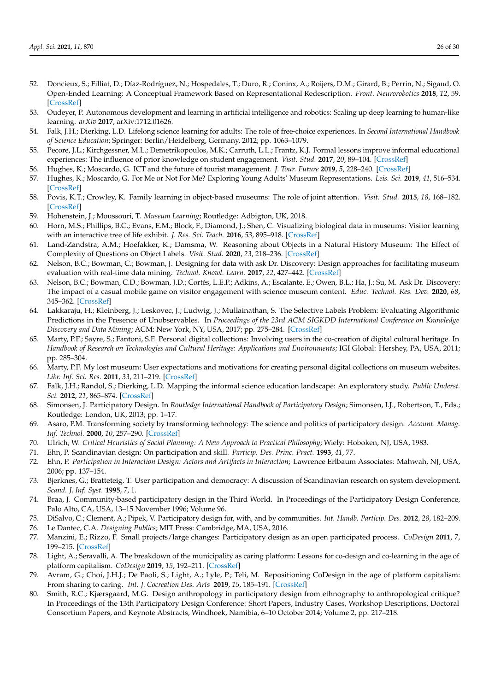- <span id="page-25-0"></span>52. Doncieux, S.; Filliat, D.; Díaz-Rodríguez, N.; Hospedales, T.; Duro, R.; Coninx, A.; Roijers, D.M.; Girard, B.; Perrin, N.; Sigaud, O. Open-Ended Learning: A Conceptual Framework Based on Representational Redescription. *Front. Neurorobotics* **2018**, *12*, 59. [\[CrossRef\]](http://dx.doi.org/10.3389/fnbot.2018.00059)
- <span id="page-25-1"></span>53. Oudeyer, P. Autonomous development and learning in artificial intelligence and robotics: Scaling up deep learning to human-like learning. *arXiv* **2017**, arXiv:1712.01626.
- <span id="page-25-2"></span>54. Falk, J.H.; Dierking, L.D. Lifelong science learning for adults: The role of free-choice experiences. In *Second International Handbook of Science Education*; Springer: Berlin/Heidelberg, Germany, 2012; pp. 1063–1079.
- <span id="page-25-3"></span>55. Pecore, J.L.; Kirchgessner, M.L.; Demetrikopoulos, M.K.; Carruth, L.L.; Frantz, K.J. Formal lessons improve informal educational experiences: The influence of prior knowledge on student engagement. *Visit. Stud.* **2017**, *20*, 89–104. [\[CrossRef\]](http://dx.doi.org/10.1080/10645578.2017.1297134)
- <span id="page-25-4"></span>56. Hughes, K.; Moscardo, G. ICT and the future of tourist management. *J. Tour. Future* **2019**, *5*, 228–240. [\[CrossRef\]](http://dx.doi.org/10.1108/JTF-12-2018-0072)
- <span id="page-25-5"></span>57. Hughes, K.; Moscardo, G. For Me or Not For Me? Exploring Young Adults' Museum Representations. *Leis. Sci.* **2019**, *41*, 516–534. [\[CrossRef\]](http://dx.doi.org/10.1080/01490400.2018.1550455)
- <span id="page-25-6"></span>58. Povis, K.T.; Crowley, K. Family learning in object-based museums: The role of joint attention. *Visit. Stud.* **2015**, *18*, 168–182. [\[CrossRef\]](http://dx.doi.org/10.1080/10645578.2015.1079095)
- <span id="page-25-7"></span>59. Hohenstein, J.; Moussouri, T. *Museum Learning*; Routledge: Adbigton, UK, 2018.
- <span id="page-25-8"></span>60. Horn, M.S.; Phillips, B.C.; Evans, E.M.; Block, F.; Diamond, J.; Shen, C. Visualizing biological data in museums: Visitor learning with an interactive tree of life exhibit. *J. Res. Sci. Teach.* **2016**, *53*, 895–918. [\[CrossRef\]](http://dx.doi.org/10.1002/tea.21318)
- <span id="page-25-9"></span>61. Land-Zandstra, A.M.; Hoefakker, K.; Damsma, W. Reasoning about Objects in a Natural History Museum: The Effect of Complexity of Questions on Object Labels. *Visit. Stud.* **2020**, *23*, 218–236. [\[CrossRef\]](http://dx.doi.org/10.1080/10645578.2020.1781485)
- <span id="page-25-10"></span>62. Nelson, B.C.; Bowman, C.; Bowman, J. Designing for data with ask Dr. Discovery: Design approaches for facilitating museum evaluation with real-time data mining. *Technol. Knowl. Learn.* **2017**, *22*, 427–442. [\[CrossRef\]](http://dx.doi.org/10.1007/s10758-017-9313-4)
- <span id="page-25-11"></span>63. Nelson, B.C.; Bowman, C.D.; Bowman, J.D.; Cortés, L.E.P.; Adkins, A.; Escalante, E.; Owen, B.L.; Ha, J.; Su, M. Ask Dr. Discovery: The impact of a casual mobile game on visitor engagement with science museum content. *Educ. Technol. Res. Dev.* **2020**, *68*, 345–362. [\[CrossRef\]](http://dx.doi.org/10.1007/s11423-019-09696-x)
- <span id="page-25-12"></span>64. Lakkaraju, H.; Kleinberg, J.; Leskovec, J.; Ludwig, J.; Mullainathan, S. The Selective Labels Problem: Evaluating Algorithmic Predictions in the Presence of Unobservables. In *Proceedings of the 23rd ACM SIGKDD International Conference on Knowledge Discovery and Data Mining*; ACM: New York, NY, USA, 2017; pp. 275–284. [\[CrossRef\]](http://dx.doi.org/10.1145/3097983.3098066)
- <span id="page-25-13"></span>65. Marty, P.F.; Sayre, S.; Fantoni, S.F. Personal digital collections: Involving users in the co-creation of digital cultural heritage. In *Handbook of Research on Technologies and Cultural Heritage: Applications and Environments*; IGI Global: Hershey, PA, USA, 2011; pp. 285–304.
- <span id="page-25-14"></span>66. Marty, P.F. My lost museum: User expectations and motivations for creating personal digital collections on museum websites. *Libr. Inf. Sci. Res.* **2011**, *33*, 211–219. [\[CrossRef\]](http://dx.doi.org/10.1016/j.lisr.2010.11.003)
- <span id="page-25-15"></span>67. Falk, J.H.; Randol, S.; Dierking, L.D. Mapping the informal science education landscape: An exploratory study. *Public Underst. Sci.* **2012**, *21*, 865–874. [\[CrossRef\]](http://dx.doi.org/10.1177/0963662510393606)
- <span id="page-25-16"></span>68. Simonsen, J. Participatory Design. In *Routledge International Handbook of Participatory Design*; Simonsen, I.J., Robertson, T., Eds.; Routledge: London, UK, 2013; pp. 1–17.
- 69. Asaro, P.M. Transforming society by transforming technology: The science and politics of participatory design. *Account. Manag. Inf. Technol.* **2000**, *10*, 257–290. [\[CrossRef\]](http://dx.doi.org/10.1016/S0959-8022(00)00004-7)
- <span id="page-25-17"></span>70. Ulrich, W. *Critical Heuristics of Social Planning: A New Approach to Practical Philosophy*; Wiely: Hoboken, NJ, USA, 1983.
- <span id="page-25-18"></span>71. Ehn, P. Scandinavian design: On participation and skill. *Particip. Des. Princ. Pract.* **1993**, *41*, 77.
- <span id="page-25-19"></span>72. Ehn, P. *Participation in Interaction Design: Actors and Artifacts in Interaction*; Lawrence Erlbaum Associates: Mahwah, NJ, USA, 2006; pp. 137–154.
- <span id="page-25-20"></span>73. Bjerknes, G.; Bratteteig, T. User participation and democracy: A discussion of Scandinavian research on system development. *Scand. J. Inf. Syst.* **1995**, *7*, 1.
- <span id="page-25-21"></span>74. Braa, J. Community-based participatory design in the Third World. In Proceedings of the Participatory Design Conference, Palo Alto, CA, USA, 13–15 November 1996; Volume 96.
- <span id="page-25-22"></span>75. DiSalvo, C.; Clement, A.; Pipek, V. Participatory design for, with, and by communities. *Int. Handb. Particip. Des.* **2012**, *28*, 182–209.
- 76. Le Dantec, C.A. *Designing Publics*; MIT Press: Cambridge, MA, USA, 2016.
- 77. Manzini, E.; Rizzo, F. Small projects/large changes: Participatory design as an open participated process. *CoDesign* **2011**, *7*, 199–215. [\[CrossRef\]](http://dx.doi.org/10.1080/15710882.2011.630472)
- <span id="page-25-23"></span>78. Light, A.; Seravalli, A. The breakdown of the municipality as caring platform: Lessons for co-design and co-learning in the age of platform capitalism. *CoDesign* **2019**, *15*, 192–211. [\[CrossRef\]](http://dx.doi.org/10.1080/15710882.2019.1631354)
- <span id="page-25-24"></span>79. Avram, G.; Choi, J.H.J.; De Paoli, S.; Light, A.; Lyle, P.; Teli, M. Repositioning CoDesign in the age of platform capitalism: From sharing to caring. *Int. J. Cocreation Des. Arts* **2019**, *15*, 185–191. [\[CrossRef\]](http://dx.doi.org/10.1080/15710882.2019.1638063)
- 80. Smith, R.C.; Kjærsgaard, M.G. Design anthropology in participatory design from ethnography to anthropological critique? In Proceedings of the 13th Participatory Design Conference: Short Papers, Industry Cases, Workshop Descriptions, Doctoral Consortium Papers, and Keynote Abstracts, Windhoek, Namibia, 6–10 October 2014; Volume 2, pp. 217–218.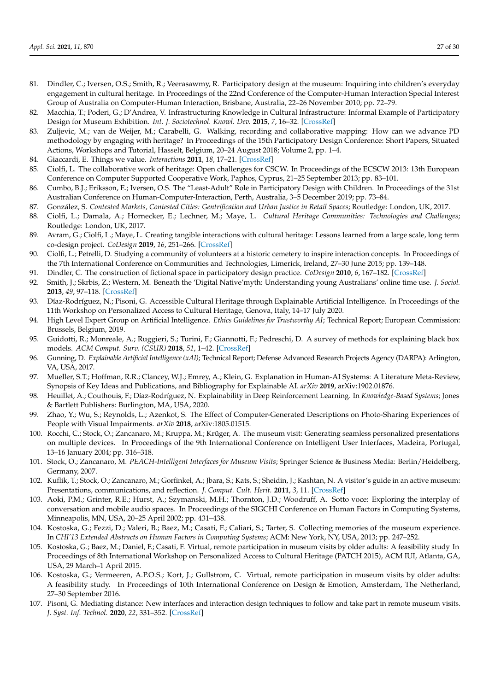- 81. Dindler, C.; Iversen, O.S.; Smith, R.; Veerasawmy, R. Participatory design at the museum: Inquiring into children's everyday engagement in cultural heritage. In Proceedings of the 22nd Conference of the Computer-Human Interaction Special Interest Group of Australia on Computer-Human Interaction, Brisbane, Australia, 22–26 November 2010; pp. 72–79.
- <span id="page-26-0"></span>82. Macchia, T.; Poderi, G.; D'Andrea, V. Infrastructuring Knowledge in Cultural Infrastructure: Informal Example of Participatory Design for Museum Exhibition. *Int. J. Sociotechnol. Knowl. Dev.* **2015**, *7*, 16–32. [\[CrossRef\]](http://dx.doi.org/10.4018/IJSKD.2015010102)
- <span id="page-26-1"></span>83. Zuljevic, M.; van de Weijer, M.; Carabelli, G. Walking, recording and collaborative mapping: How can we advance PD methodology by engaging with heritage? In Proceedings of the 15th Participatory Design Conference: Short Papers, Situated Actions, Workshops and Tutorial, Hasselt, Belgium, 20–24 August 2018; Volume 2, pp. 1–4.
- <span id="page-26-2"></span>84. Giaccardi, E. Things we value. *Interactions* **2011**, *18*, 17–21. [\[CrossRef\]](http://dx.doi.org/10.1145/1897239.1897245)
- <span id="page-26-3"></span>85. Ciolfi, L. The collaborative work of heritage: Open challenges for CSCW. In Proceedings of the ECSCW 2013: 13th European Conference on Computer Supported Cooperative Work, Paphos, Cyprus, 21–25 September 2013; pp. 83–101.
- <span id="page-26-4"></span>86. Cumbo, B.J.; Eriksson, E.; Iversen, O.S. The "Least-Adult" Role in Participatory Design with Children. In Proceedings of the 31st Australian Conference on Human-Computer-Interaction, Perth, Australia, 3–5 December 2019; pp. 73–84.
- <span id="page-26-5"></span>87. González, S. *Contested Markets, Contested Cities: Gentrification and Urban Justice in Retail Spaces*; Routledge: London, UK, 2017.
- <span id="page-26-6"></span>88. Ciolfi, L.; Damala, A.; Hornecker, E.; Lechner, M.; Maye, L. *Cultural Heritage Communities: Technologies and Challenges*; Routledge: London, UK, 2017.
- <span id="page-26-7"></span>89. Avram, G.; Ciolfi, L.; Maye, L. Creating tangible interactions with cultural heritage: Lessons learned from a large scale, long term co-design project. *CoDesign* **2019**, *16*, 251–266. [\[CrossRef\]](http://dx.doi.org/10.1080/15710882.2019.1596288)
- <span id="page-26-8"></span>90. Ciolfi, L.; Petrelli, D. Studying a community of volunteers at a historic cemetery to inspire interaction concepts. In Proceedings of the 7th International Conference on Communities and Technologies, Limerick, Ireland, 27–30 June 2015; pp. 139–148.
- <span id="page-26-9"></span>91. Dindler, C. The construction of fictional space in participatory design practice. *CoDesign* **2010**, *6*, 167–182. [\[CrossRef\]](http://dx.doi.org/10.1080/15710882.2010.493941)
- <span id="page-26-10"></span>92. Smith, J.; Skrbis, Z.; Western, M. Beneath the 'Digital Native'myth: Understanding young Australians' online time use. *J. Sociol.* **2013**, *49*, 97–118. [\[CrossRef\]](http://dx.doi.org/10.1177/1440783311434856)
- <span id="page-26-11"></span>93. Díaz-Rodríguez, N.; Pisoni, G. Accessible Cultural Heritage through Explainable Artificial Intelligence. In Proceedings of the 11th Workshop on Personalized Access to Cultural Heritage, Genova, Italy, 14–17 July 2020.
- <span id="page-26-12"></span>94. High Level Expert Group on Artificial Intelligence. *Ethics Guidelines for Trustworthy AI*; Technical Report; European Commission: Brussels, Belgium, 2019.
- <span id="page-26-13"></span>95. Guidotti, R.; Monreale, A.; Ruggieri, S.; Turini, F.; Giannotti, F.; Pedreschi, D. A survey of methods for explaining black box models. *ACM Comput. Surv. (CSUR)* **2018**, *51*, 1–42. [\[CrossRef\]](http://dx.doi.org/10.1145/3236009)
- 96. Gunning, D. *Explainable Artificial Intelligence (xAI)*; Technical Report; Defense Advanced Research Projects Agency (DARPA): Arlington, VA, USA, 2017.
- 97. Mueller, S.T.; Hoffman, R.R.; Clancey, W.J.; Emrey, A.; Klein, G. Explanation in Human-AI Systems: A Literature Meta-Review, Synopsis of Key Ideas and Publications, and Bibliography for Explainable AI. *arXiv* **2019**, arXiv:1902.01876.
- <span id="page-26-14"></span>98. Heuillet, A.; Couthouis, F.; Díaz-Rodríguez, N. Explainability in Deep Reinforcement Learning. In *Knowledge-Based Systems*; Jones & Bartlett Publishers: Burlington, MA, USA, 2020.
- <span id="page-26-15"></span>99. Zhao, Y.; Wu, S.; Reynolds, L.; Azenkot, S. The Effect of Computer-Generated Descriptions on Photo-Sharing Experiences of People with Visual Impairments. *arXiv* **2018**, arXiv:1805.01515.
- <span id="page-26-16"></span>100. Rocchi, C.; Stock, O.; Zancanaro, M.; Kruppa, M.; Krüger, A. The museum visit: Generating seamless personalized presentations on multiple devices. In Proceedings of the 9th International Conference on Intelligent User Interfaces, Madeira, Portugal, 13–16 January 2004; pp. 316–318.
- <span id="page-26-17"></span>101. Stock, O.; Zancanaro, M. *PEACH-Intelligent Interfaces for Museum Visits*; Springer Science & Business Media: Berlin/Heidelberg, Germany, 2007.
- <span id="page-26-19"></span>102. Kuflik, T.; Stock, O.; Zancanaro, M.; Gorfinkel, A.; Jbara, S.; Kats, S.; Sheidin, J.; Kashtan, N. A visitor's guide in an active museum: Presentations, communications, and reflection. *J. Comput. Cult. Herit.* **2011**, *3*, 11. [\[CrossRef\]](http://dx.doi.org/10.1145/1921614.1921618)
- <span id="page-26-18"></span>103. Aoki, P.M.; Grinter, R.E.; Hurst, A.; Szymanski, M.H.; Thornton, J.D.; Woodruff, A. Sotto voce: Exploring the interplay of conversation and mobile audio spaces. In Proceedings of the SIGCHI Conference on Human Factors in Computing Systems, Minneapolis, MN, USA, 20–25 April 2002; pp. 431–438.
- <span id="page-26-20"></span>104. Kostoska, G.; Fezzi, D.; Valeri, B.; Baez, M.; Casati, F.; Caliari, S.; Tarter, S. Collecting memories of the museum experience. In *CHI'13 Extended Abstracts on Human Factors in Computing Systems*; ACM: New York, NY, USA, 2013; pp. 247–252.
- 105. Kostoska, G.; Baez, M.; Daniel, F.; Casati, F. Virtual, remote participation in museum visits by older adults: A feasibility study In Proceedings of 8th International Workshop on Personalized Access to Cultural Heritage (PATCH 2015), ACM IUI, Atlanta, GA, USA, 29 March–1 April 2015.
- <span id="page-26-21"></span>106. Kostoska, G.; Vermeeren, A.P.O.S.; Kort, J.; Gullstrom, C. Virtual, remote participation in museum visits by older adults: A feasibility study. In Proceedings of 10th International Conference on Design & Emotion, Amsterdam, The Netherland, 27–30 September 2016.
- <span id="page-26-22"></span>107. Pisoni, G. Mediating distance: New interfaces and interaction design techniques to follow and take part in remote museum visits. *J. Syst. Inf. Technol.* **2020**, *22*, 331–352. [\[CrossRef\]](http://dx.doi.org/10.1108/JSIT-03-2020-0038)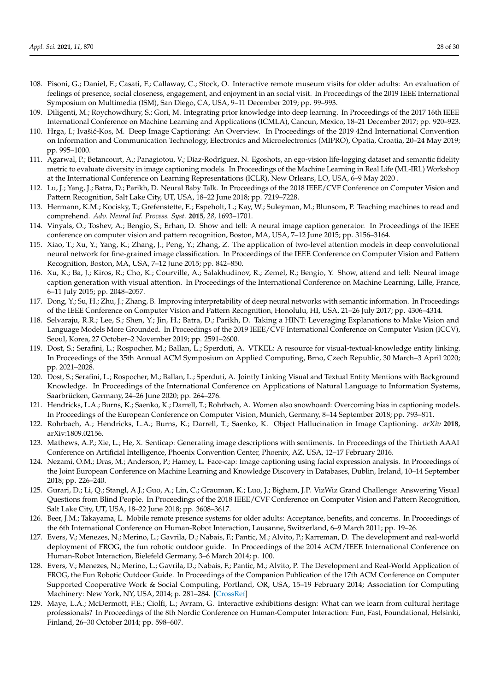- <span id="page-27-0"></span>108. Pisoni, G.; Daniel, F.; Casati, F.; Callaway, C.; Stock, O. Interactive remote museum visits for older adults: An evaluation of feelings of presence, social closeness, engagement, and enjoyment in an social visit. In Proceedings of the 2019 IEEE International Symposium on Multimedia (ISM), San Diego, CA, USA, 9–11 December 2019; pp. 99–993.
- <span id="page-27-1"></span>109. Diligenti, M.; Roychowdhury, S.; Gori, M. Integrating prior knowledge into deep learning. In Proceedings of the 2017 16th IEEE International Conference on Machine Learning and Applications (ICMLA), Cancun, Mexico, 18–21 December 2017; pp. 920–923.
- <span id="page-27-2"></span>110. Hrga, I.; Ivašić-Kos, M. Deep Image Captioning: An Overview. In Proceedings of the 2019 42nd International Convention on Information and Communication Technology, Electronics and Microelectronics (MIPRO), Opatia, Croatia, 20–24 May 2019; pp. 995–1000.
- <span id="page-27-3"></span>111. Agarwal, P.; Betancourt, A.; Panagiotou, V.; Díaz-Rodríguez, N. Egoshots, an ego-vision life-logging dataset and semantic fidelity metric to evaluate diversity in image captioning models. In Proceedings of the Machine Learning in Real Life (ML-IRL) Workshop at the International Conference on Learning Representations (ICLR), New Orleans, LO, USA, 6–9 May 2020 .
- <span id="page-27-4"></span>112. Lu, J.; Yang, J.; Batra, D.; Parikh, D. Neural Baby Talk. In Proceedings of the 2018 IEEE/CVF Conference on Computer Vision and Pattern Recognition, Salt Lake City, UT, USA, 18–22 June 2018; pp. 7219–7228.
- <span id="page-27-5"></span>113. Hermann, K.M.; Kocisky, T.; Grefenstette, E.; Espeholt, L.; Kay, W.; Suleyman, M.; Blunsom, P. Teaching machines to read and comprehend. *Adv. Neural Inf. Process. Syst.* **2015**, *28*, 1693–1701.
- 114. Vinyals, O.; Toshev, A.; Bengio, S.; Erhan, D. Show and tell: A neural image caption generator. In Proceedings of the IEEE conference on computer vision and pattern recognition, Boston, MA, USA, 7–12 June 2015; pp. 3156–3164.
- 115. Xiao, T.; Xu, Y.; Yang, K.; Zhang, J.; Peng, Y.; Zhang, Z. The application of two-level attention models in deep convolutional neural network for fine-grained image classification. In Proceedings of the IEEE Conference on Computer Vision and Pattern Recognition, Boston, MA, USA, 7–12 June 2015; pp. 842–850.
- 116. Xu, K.; Ba, J.; Kiros, R.; Cho, K.; Courville, A.; Salakhudinov, R.; Zemel, R.; Bengio, Y. Show, attend and tell: Neural image caption generation with visual attention. In Proceedings of the International Conference on Machine Learning, Lille, France, 6–11 July 2015; pp. 2048–2057.
- <span id="page-27-6"></span>117. Dong, Y.; Su, H.; Zhu, J.; Zhang, B. Improving interpretability of deep neural networks with semantic information. In Proceedings of the IEEE Conference on Computer Vision and Pattern Recognition, Honolulu, HI, USA, 21–26 July 2017; pp. 4306–4314.
- <span id="page-27-7"></span>118. Selvaraju, R.R.; Lee, S.; Shen, Y.; Jin, H.; Batra, D.; Parikh, D. Taking a HINT: Leveraging Explanations to Make Vision and Language Models More Grounded. In Proceedings of the 2019 IEEE/CVF International Conference on Computer Vision (ICCV), Seoul, Korea, 27 October–2 November 2019; pp. 2591–2600.
- 119. Dost, S.; Serafini, L.; Rospocher, M.; Ballan, L.; Sperduti, A. VTKEL: A resource for visual-textual-knowledge entity linking. In Proceedings of the 35th Annual ACM Symposium on Applied Computing, Brno, Czech Republic, 30 March–3 April 2020; pp. 2021–2028.
- <span id="page-27-8"></span>120. Dost, S.; Serafini, L.; Rospocher, M.; Ballan, L.; Sperduti, A. Jointly Linking Visual and Textual Entity Mentions with Background Knowledge. In Proceedings of the International Conference on Applications of Natural Language to Information Systems, Saarbrücken, Germany, 24–26 June 2020; pp. 264–276.
- <span id="page-27-9"></span>121. Hendricks, L.A.; Burns, K.; Saenko, K.; Darrell, T.; Rohrbach, A. Women also snowboard: Overcoming bias in captioning models. In Proceedings of the European Conference on Computer Vision, Munich, Germany, 8–14 September 2018; pp. 793–811.
- <span id="page-27-10"></span>122. Rohrbach, A.; Hendricks, L.A.; Burns, K.; Darrell, T.; Saenko, K. Object Hallucination in Image Captioning. *arXiv* **2018**, arXiv:1809.02156.
- <span id="page-27-11"></span>123. Mathews, A.P.; Xie, L.; He, X. Senticap: Generating image descriptions with sentiments. In Proceedings of the Thirtieth AAAI Conference on Artificial Intelligence, Phoenix Convention Center, Phoenix, AZ, USA, 12–17 February 2016.
- <span id="page-27-12"></span>124. Nezami, O.M.; Dras, M.; Anderson, P.; Hamey, L. Face-cap: Image captioning using facial expression analysis. In Proceedings of the Joint European Conference on Machine Learning and Knowledge Discovery in Databases, Dublin, Ireland, 10–14 September 2018; pp. 226–240.
- <span id="page-27-13"></span>125. Gurari, D.; Li, Q.; Stangl, A.J.; Guo, A.; Lin, C.; Grauman, K.; Luo, J.; Bigham, J.P. VizWiz Grand Challenge: Answering Visual Questions from Blind People. In Proceedings of the 2018 IEEE/CVF Conference on Computer Vision and Pattern Recognition, Salt Lake City, UT, USA, 18–22 June 2018; pp. 3608–3617.
- <span id="page-27-14"></span>126. Beer, J.M.; Takayama, L. Mobile remote presence systems for older adults: Acceptance, benefits, and concerns. In Proceedings of the 6th International Conference on Human-Robot Interaction, Lausanne, Switzerland, 6–9 March 2011; pp. 19–26.
- <span id="page-27-15"></span>127. Evers, V.; Menezes, N.; Merino, L.; Gavrila, D.; Nabais, F.; Pantic, M.; Alvito, P.; Karreman, D. The development and real-world deployment of FROG, the fun robotic outdoor guide. In Proceedings of the 2014 ACM/IEEE International Conference on Human-Robot Interaction, Bielefeld Germany, 3–6 March 2014; p. 100.
- <span id="page-27-16"></span>128. Evers, V.; Menezes, N.; Merino, L.; Gavrila, D.; Nabais, F.; Pantic, M.; Alvito, P. The Development and Real-World Application of FROG, the Fun Robotic Outdoor Guide. In Proceedings of the Companion Publication of the 17th ACM Conference on Computer Supported Cooperative Work & Social Computing, Portland, OR, USA, 15–19 February 2014; Association for Computing Machinery: New York, NY, USA, 2014; p. 281–284. [\[CrossRef\]](http://dx.doi.org/10.1145/2556420.2557638)
- <span id="page-27-17"></span>129. Maye, L.A.; McDermott, F.E.; Ciolfi, L.; Avram, G. Interactive exhibitions design: What can we learn from cultural heritage professionals? In Proceedings of the 8th Nordic Conference on Human-Computer Interaction: Fun, Fast, Foundational, Helsinki, Finland, 26–30 October 2014; pp. 598–607.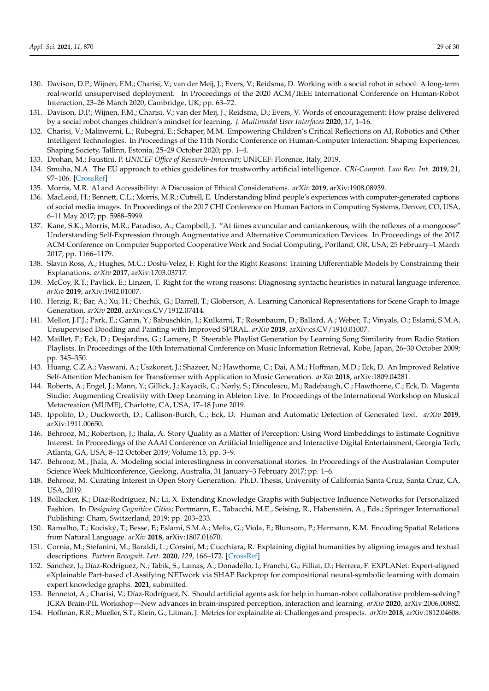- <span id="page-28-0"></span>130. Davison, D.P.; Wijnen, F.M.; Charisi, V.; van der Meij, J.; Evers, V.; Reidsma, D. Working with a social robot in school: A long-term real-world unsupervised deployment. In Proceedings of the 2020 ACM/IEEE International Conference on Human-Robot Interaction, 23–26 March 2020, Cambridge, UK; pp. 63–72.
- <span id="page-28-1"></span>131. Davison, D.P.; Wijnen, F.M.; Charisi, V.; van der Meij, J.; Reidsma, D.; Evers, V. Words of encouragement: How praise delivered by a social robot changes children's mindset for learning. *J. Multimodal User Interfaces* **2020**, *17*, 1–16.
- <span id="page-28-2"></span>132. Charisi, V.; Malinverni, L.; Rubegni, E.; Schaper, M.M. Empowering Children's Critical Reflections on AI, Robotics and Other Intelligent Technologies. In Proceedings of the 11th Nordic Conference on Human-Computer Interaction: Shaping Experiences, Shaping Society, Tallinn, Estonia, 25–29 October 2020; pp. 1–4.
- <span id="page-28-3"></span>133. Drohan, M.; Faustini, P. *UNICEF Office of Research–Innocenti*; UNICEF: Florence, Italy, 2019.
- <span id="page-28-4"></span>134. Smuha, N.A. The EU approach to ethics guidelines for trustworthy artificial intelligence. *CRi-Comput. Law Rev. Int.* **2019**, 21, 97–106. [\[CrossRef\]](http://dx.doi.org/10.9785/cri-2019-200402)
- <span id="page-28-5"></span>135. Morris, M.R. AI and Accessibility: A Discussion of Ethical Considerations. *arXiv* **2019**, arXiv:1908.08939.
- <span id="page-28-6"></span>136. MacLeod, H.; Bennett, C.L.; Morris, M.R.; Cutrell, E. Understanding blind people's experiences with computer-generated captions of social media images. In Proceedings of the 2017 CHI Conference on Human Factors in Computing Systems, Denver, CO, USA, 6–11 May 2017; pp. 5988–5999.
- <span id="page-28-7"></span>137. Kane, S.K.; Morris, M.R.; Paradiso, A.; Campbell, J. "At times avuncular and cantankerous, with the reflexes of a mongoose" Understanding Self-Expression through Augmentative and Alternative Communication Devices. In Proceedings of the 2017 ACM Conference on Computer Supported Cooperative Work and Social Computing, Portland, OR, USA, 25 February–1 March 2017; pp. 1166–1179.
- <span id="page-28-8"></span>138. Slavin Ross, A.; Hughes, M.C.; Doshi-Velez, F. Right for the Right Reasons: Training Differentiable Models by Constraining their Explanations. *arXiv* **2017**, arXiv:1703.03717.
- <span id="page-28-9"></span>139. McCoy, R.T.; Pavlick, E.; Linzen, T. Right for the wrong reasons: Diagnosing syntactic heuristics in natural language inference. *arXiv* **2019**, arXiv:1902.01007.
- <span id="page-28-10"></span>140. Herzig, R.; Bar, A.; Xu, H.; Chechik, G.; Darrell, T.; Globerson, A. Learning Canonical Representations for Scene Graph to Image Generation. *arXiv* **2020**, arXiv:cs.CV/1912.07414.
- <span id="page-28-11"></span>141. Mellor, J.F.J.; Park, E.; Ganin, Y.; Babuschkin, I.; Kulkarni, T.; Rosenbaum, D.; Ballard, A.; Weber, T.; Vinyals, O.; Eslami, S.M.A. Unsupervised Doodling and Painting with Improved SPIRAL. *arXiv* **2019**, arXiv:cs.CV/1910.01007.
- <span id="page-28-12"></span>142. Maillet, F.; Eck, D.; Desjardins, G.; Lamere, P. Steerable Playlist Generation by Learning Song Similarity from Radio Station Playlists. In Proceedings of the 10th International Conference on Music Information Retrieval, Kobe, Japan, 26–30 October 2009; pp. 345–350.
- <span id="page-28-13"></span>143. Huang, C.Z.A.; Vaswani, A.; Uszkoreit, J.; Shazeer, N.; Hawthorne, C.; Dai, A.M.; Hoffman, M.D.; Eck, D. An Improved Relative Self-Attention Mechanism for Transformer with Application to Music Generation. *arXiv* **2018**, arXiv:1809.04281.
- <span id="page-28-14"></span>144. Roberts, A.; Engel, J.; Mann, Y.; Gillick, J.; Kayacik, C.; Nørly, S.; Dinculescu, M.; Radebaugh, C.; Hawthorne, C.; Eck, D. Magenta Studio: Augmenting Creativity with Deep Learning in Ableton Live. In Proceedings of the International Workshop on Musical Metacreation (MUME), Charlotte, CA, USA, 17–18 June 2019.
- <span id="page-28-15"></span>145. Ippolito, D.; Duckworth, D.; Callison-Burch, C.; Eck, D. Human and Automatic Detection of Generated Text. *arXiv* **2019**, arXiv:1911.00650.
- <span id="page-28-16"></span>146. Behrooz, M.; Robertson, J.; Jhala, A. Story Quality as a Matter of Perception: Using Word Embeddings to Estimate Cognitive Interest. In Proceedings of the AAAI Conference on Artificial Intelligence and Interactive Digital Entertainment, Georgia Tech, Atlanta, GA, USA, 8–12 October 2019; Volume 15, pp. 3–9.
- 147. Behrooz, M.; Jhala, A. Modeling social interestingness in conversational stories. In Proceedings of the Australasian Computer Science Week Multiconference, Geelong, Australia, 31 January–3 February 2017; pp. 1–6.
- <span id="page-28-17"></span>148. Behrooz, M. Curating Interest in Open Story Generation. Ph.D. Thesis, University of California Santa Cruz, Santa Cruz, CA, USA, 2019.
- <span id="page-28-18"></span>149. Bollacker, K.; Díaz-Rodríguez, N.; Li, X. Extending Knowledge Graphs with Subjective Influence Networks for Personalized Fashion. In *Designing Cognitive Cities*; Portmann, E., Tabacchi, M.E., Seising, R., Habenstein, A., Eds.; Springer International Publishing: Cham, Switzerland, 2019; pp. 203–233.
- <span id="page-28-19"></span>150. Ramalho, T.; Kociský, T.; Besse, F.; Eslami, S.M.A.; Melis, G.; Viola, F.; Blunsom, P.; Hermann, K.M. Encoding Spatial Relations from Natural Language. *arXiv* **2018**, arXiv:1807.01670.
- <span id="page-28-20"></span>151. Cornia, M.; Stefanini, M.; Baraldi, L.; Corsini, M.; Cucchiara, R. Explaining digital humanities by aligning images and textual descriptions. *Pattern Recognit. Lett.* **2020**, *129*, 166–172. [\[CrossRef\]](http://dx.doi.org/10.1016/j.patrec.2019.11.018)
- <span id="page-28-21"></span>152. Sanchez, J.; Díaz-Rodríguez, N.; Tabik, S.; Lamas, A.; Donadello, I.; Franchi, G.; Filliat, D.; Herrera, F. EXPLANet: Expert-aligned eXplainable Part-based cLAssifying NETwork via SHAP Backprop for compositional neural-symbolic learning with domain expert knowledge graphs. **2021**, submitted.
- <span id="page-28-22"></span>153. Bennetot, A.; Charisi, V.; Díaz-Rodríguez, N. Should artificial agents ask for help in human-robot collaborative problem-solving? ICRA Brain-PIL Workshop—New advances in brain-inspired perception, interaction and learning. *arXiv* **2020**, arXiv:2006.00882.
- <span id="page-28-23"></span>154. Hoffman, R.R.; Mueller, S.T.; Klein, G.; Litman, J. Metrics for explainable ai: Challenges and prospects. *arXiv* **2018**, arXiv:1812.04608.